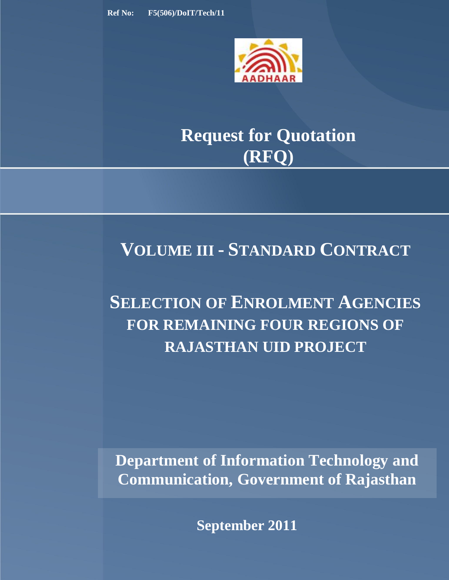

# **Request for Quotation (RFQ)**

## **VOLUME III - STANDARD CONTRACT**

# **SELECTION OF ENROLMENT AGENCIES FOR REMAINING FOUR REGIONS OF RAJASTHAN UID PROJECT**

**Department of Information Technology and Communication, Government of Rajasthan**

**September 2011**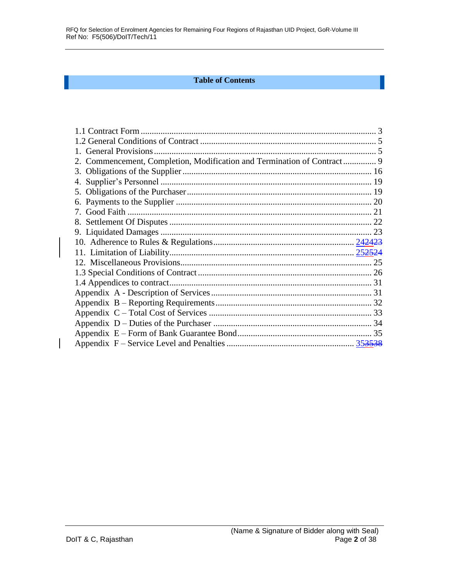#### **Table of Contents**

| 2. Commencement, Completion, Modification and Termination of Contract 9 |  |
|-------------------------------------------------------------------------|--|
|                                                                         |  |
|                                                                         |  |
|                                                                         |  |
|                                                                         |  |
|                                                                         |  |
|                                                                         |  |
|                                                                         |  |
|                                                                         |  |
|                                                                         |  |
|                                                                         |  |
|                                                                         |  |
|                                                                         |  |
|                                                                         |  |
|                                                                         |  |
|                                                                         |  |
|                                                                         |  |
|                                                                         |  |
|                                                                         |  |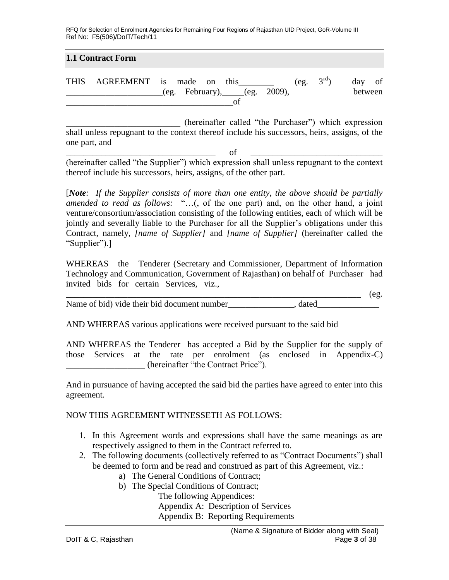#### <span id="page-2-0"></span>**1.1 Contract Form**

THIS AGREEMENT is made on this  $(eg. 3<sup>rd</sup>)$  day of \_\_\_\_\_\_\_\_\_\_\_\_\_\_\_\_\_\_\_\_\_\_(eg. February),\_\_\_\_\_(eg. 2009), between  $\Box$  of

(hereinafter called "the Purchaser") which expression shall unless repugnant to the context thereof include his successors, heirs, assigns, of the one part, and

\_\_\_\_\_\_\_\_\_\_\_\_\_\_\_\_\_\_\_\_\_\_\_\_\_\_\_\_\_\_\_\_\_\_ of \_\_\_\_\_\_\_\_\_\_\_\_\_\_\_\_\_\_\_\_\_\_\_\_\_\_\_\_\_\_ (hereinafter called "the Supplier") which expression shall unless repugnant to the context thereof include his successors, heirs, assigns, of the other part.

[*Note: If the Supplier consists of more than one entity, the above should be partially amended to read as follows:* "…(, of the one part) and, on the other hand, a joint venture/consortium/association consisting of the following entities, each of which will be jointly and severally liable to the Purchaser for all the Supplier's obligations under this Contract, namely, *[name of Supplier]* and *[name of Supplier]* (hereinafter called the "Supplier").]

WHEREAS the Tenderer (Secretary and Commissioner, Department of Information Technology and Communication, Government of Rajasthan) on behalf of Purchaser had invited bids for certain Services, viz.,

Name of bid) vide their bid document number details a stated

AND WHEREAS various applications were received pursuant to the said bid

AND WHEREAS the Tenderer has accepted a Bid by the Supplier for the supply of those Services at the rate per enrolment (as enclosed in Appendix-C) \_\_\_\_\_\_\_\_\_\_\_\_\_\_\_\_\_\_ (hereinafter "the Contract Price").

And in pursuance of having accepted the said bid the parties have agreed to enter into this agreement.

NOW THIS AGREEMENT WITNESSETH AS FOLLOWS:

- 1. In this Agreement words and expressions shall have the same meanings as are respectively assigned to them in the Contract referred to.
- 2. The following documents (collectively referred to as "Contract Documents") shall be deemed to form and be read and construed as part of this Agreement, viz.:
	- a) The General Conditions of Contract;
	- b) The Special Conditions of Contract;

The following Appendices:

Appendix A: Description of Services

Appendix B: Reporting Requirements

 $\qquad \qquad$  (eg.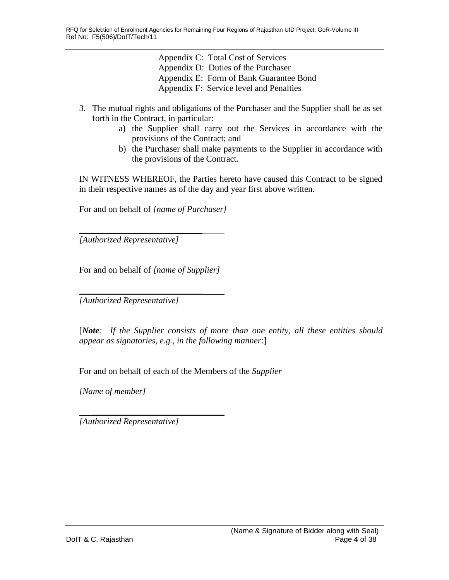Appendix C: Total Cost of Services Appendix D: Duties of the Purchaser Appendix E: Form of Bank Guarantee Bond Appendix F: Service level and Penalties

- 3. The mutual rights and obligations of the Purchaser and the Supplier shall be as set forth in the Contract, in particular:
	- a) the Supplier shall carry out the Services in accordance with the provisions of the Contract; and
	- b) the Purchaser shall make payments to the Supplier in accordance with the provisions of the Contract.

IN WITNESS WHEREOF, the Parties hereto have caused this Contract to be signed in their respective names as of the day and year first above written.

For and on behalf of *[name of Purchaser]*

*[Authorized Representative]*

\_\_\_\_\_\_\_\_\_\_\_\_\_\_\_\_\_\_\_\_\_\_\_\_\_\_\_\_

For and on behalf of *[name of Supplier]*

\_\_\_\_\_\_\_\_\_\_\_\_\_\_\_\_\_\_\_\_\_\_\_\_\_\_\_\_ *[Authorized Representative]*

[*Note: If the Supplier consists of more than one entity, all these entities should appear as signatories, e.g., in the following manner*:]

For and on behalf of each of the Members of the *Supplier*

*[Name of member]*

*[Authorized Representative]*

 $\overline{\phantom{a}}$  , where  $\overline{\phantom{a}}$  , where  $\overline{\phantom{a}}$  , where  $\overline{\phantom{a}}$  ,  $\overline{\phantom{a}}$  ,  $\overline{\phantom{a}}$  ,  $\overline{\phantom{a}}$  ,  $\overline{\phantom{a}}$  ,  $\overline{\phantom{a}}$  ,  $\overline{\phantom{a}}$  ,  $\overline{\phantom{a}}$  ,  $\overline{\phantom{a}}$  ,  $\overline{\phantom{a}}$  ,  $\overline{\phantom{a}}$  ,  $\overline{\phantom$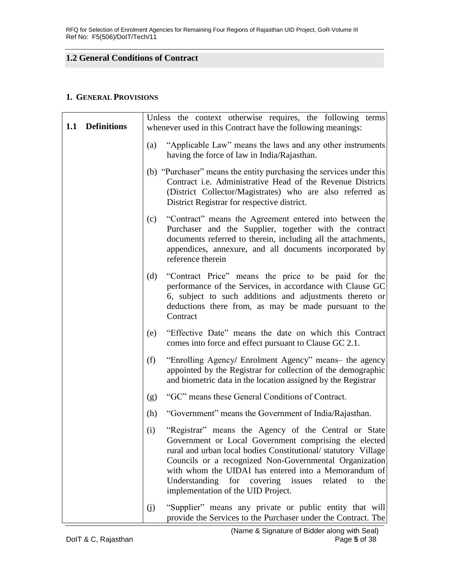## <span id="page-4-0"></span>**1.2 General Conditions of Contract**

#### <span id="page-4-1"></span>**1. GENERAL PROVISIONS**

| 1.1 Definitions | Unless the context otherwise requires, the following terms<br>whenever used in this Contract have the following meanings:                                                                                                                                                                                                                                                                                  |
|-----------------|------------------------------------------------------------------------------------------------------------------------------------------------------------------------------------------------------------------------------------------------------------------------------------------------------------------------------------------------------------------------------------------------------------|
|                 | "Applicable Law" means the laws and any other instruments<br>(a)<br>having the force of law in India/Rajasthan.                                                                                                                                                                                                                                                                                            |
|                 | (b) "Purchaser" means the entity purchasing the services under this<br>Contract <i>i.e.</i> Administrative Head of the Revenue Districts<br>(District Collector/Magistrates) who are also referred as<br>District Registrar for respective district.                                                                                                                                                       |
|                 | "Contract" means the Agreement entered into between the<br>(c)<br>Purchaser and the Supplier, together with the contract<br>documents referred to therein, including all the attachments,<br>appendices, annexure, and all documents incorporated by<br>reference therein                                                                                                                                  |
|                 | "Contract Price" means the price to be paid for the<br>(d)<br>performance of the Services, in accordance with Clause GC<br>6, subject to such additions and adjustments thereto or<br>deductions there from, as may be made pursuant to the<br>Contract                                                                                                                                                    |
|                 | "Effective Date" means the date on which this Contract<br>(e)<br>comes into force and effect pursuant to Clause GC 2.1.                                                                                                                                                                                                                                                                                    |
|                 | "Enrolling Agency/ Enrolment Agency" means- the agency<br>(f)<br>appointed by the Registrar for collection of the demographic<br>and biometric data in the location assigned by the Registrar                                                                                                                                                                                                              |
|                 | "GC" means these General Conditions of Contract.<br>(g)                                                                                                                                                                                                                                                                                                                                                    |
|                 | "Government" means the Government of India/Rajasthan.<br>(h)                                                                                                                                                                                                                                                                                                                                               |
|                 | "Registrar" means the Agency of the Central or State<br>(i)<br>Government or Local Government comprising the elected<br>rural and urban local bodies Constitutional/statutory Village<br>Councils or a recognized Non-Governmental Organization<br>with whom the UIDAI has entered into a Memorandum of<br>Understanding for covering issues<br>related<br>to<br>the<br>implementation of the UID Project. |
|                 | "Supplier" means any private or public entity that will<br>(j)<br>provide the Services to the Purchaser under the Contract. The                                                                                                                                                                                                                                                                            |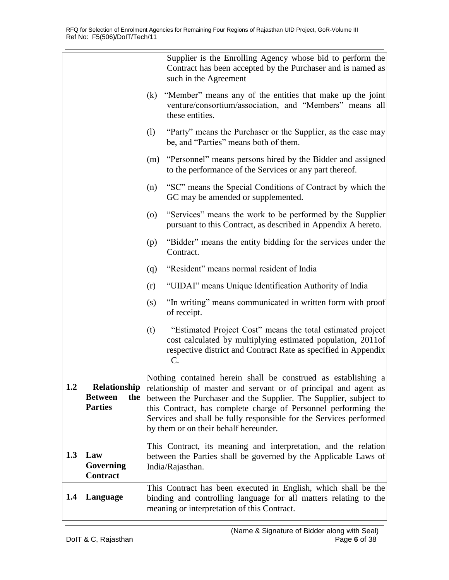|     |                                                         | Supplier is the Enrolling Agency whose bid to perform the<br>Contract has been accepted by the Purchaser and is named as<br>such in the Agreement                                                                                                                                                                                                                                     |  |
|-----|---------------------------------------------------------|---------------------------------------------------------------------------------------------------------------------------------------------------------------------------------------------------------------------------------------------------------------------------------------------------------------------------------------------------------------------------------------|--|
|     |                                                         | "Member" means any of the entities that make up the joint<br>(k)<br>venture/consortium/association, and "Members" means all<br>these entities.                                                                                                                                                                                                                                        |  |
|     |                                                         | "Party" means the Purchaser or the Supplier, as the case may<br>(1)<br>be, and "Parties" means both of them.                                                                                                                                                                                                                                                                          |  |
|     |                                                         | "Personnel" means persons hired by the Bidder and assigned<br>(m)<br>to the performance of the Services or any part thereof.                                                                                                                                                                                                                                                          |  |
|     |                                                         | "SC" means the Special Conditions of Contract by which the<br>(n)<br>GC may be amended or supplemented.                                                                                                                                                                                                                                                                               |  |
|     |                                                         | "Services" means the work to be performed by the Supplier<br>(0)<br>pursuant to this Contract, as described in Appendix A hereto.                                                                                                                                                                                                                                                     |  |
|     |                                                         | "Bidder" means the entity bidding for the services under the<br>(p)<br>Contract.                                                                                                                                                                                                                                                                                                      |  |
|     |                                                         | "Resident" means normal resident of India<br>(q)                                                                                                                                                                                                                                                                                                                                      |  |
|     |                                                         | "UIDAI" means Unique Identification Authority of India<br>(r)                                                                                                                                                                                                                                                                                                                         |  |
|     |                                                         | "In writing" means communicated in written form with proof<br>(s)<br>of receipt.                                                                                                                                                                                                                                                                                                      |  |
|     |                                                         | "Estimated Project Cost" means the total estimated project<br>(t)<br>cost calculated by multiplying estimated population, 2011of<br>respective district and Contract Rate as specified in Appendix<br>$-C$ .                                                                                                                                                                          |  |
| 1.2 | Relationship<br><b>Between</b><br>the<br><b>Parties</b> | Nothing contained herein shall be construed as establishing a<br>relationship of master and servant or of principal and agent as<br>between the Purchaser and the Supplier. The Supplier, subject to<br>this Contract, has complete charge of Personnel performing the<br>Services and shall be fully responsible for the Services performed<br>by them or on their behalf hereunder. |  |
| 1.3 | Law<br><b>Governing</b><br><b>Contract</b>              | This Contract, its meaning and interpretation, and the relation<br>between the Parties shall be governed by the Applicable Laws of<br>India/Rajasthan.                                                                                                                                                                                                                                |  |
| 1.4 | Language                                                | This Contract has been executed in English, which shall be the<br>binding and controlling language for all matters relating to the<br>meaning or interpretation of this Contract.                                                                                                                                                                                                     |  |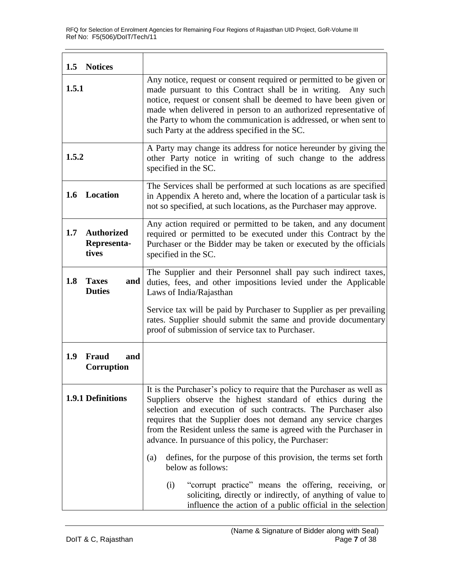| 1.5 Notices                                      |                                                                                                                                                                                                                                                                                                                                                                                                       |
|--------------------------------------------------|-------------------------------------------------------------------------------------------------------------------------------------------------------------------------------------------------------------------------------------------------------------------------------------------------------------------------------------------------------------------------------------------------------|
| 1.5.1                                            | Any notice, request or consent required or permitted to be given or<br>made pursuant to this Contract shall be in writing.<br>Any such<br>notice, request or consent shall be deemed to have been given or<br>made when delivered in person to an authorized representative of<br>the Party to whom the communication is addressed, or when sent to<br>such Party at the address specified in the SC. |
| 1.5.2                                            | A Party may change its address for notice hereunder by giving the<br>other Party notice in writing of such change to the address<br>specified in the SC.                                                                                                                                                                                                                                              |
| Location<br>1.6                                  | The Services shall be performed at such locations as are specified<br>in Appendix A hereto and, where the location of a particular task is<br>not so specified, at such locations, as the Purchaser may approve.                                                                                                                                                                                      |
| 1.7<br><b>Authorized</b><br>Representa-<br>tives | Any action required or permitted to be taken, and any document<br>required or permitted to be executed under this Contract by the<br>Purchaser or the Bidder may be taken or executed by the officials<br>specified in the SC.                                                                                                                                                                        |
| 1.8<br><b>Taxes</b><br>and<br><b>Duties</b>      | The Supplier and their Personnel shall pay such indirect taxes,<br>duties, fees, and other impositions levied under the Applicable<br>Laws of India/Rajasthan                                                                                                                                                                                                                                         |
|                                                  | Service tax will be paid by Purchaser to Supplier as per prevailing<br>rates. Supplier should submit the same and provide documentary<br>proof of submission of service tax to Purchaser.                                                                                                                                                                                                             |
| 1.9<br><b>Fraud</b><br>and<br><b>Corruption</b>  |                                                                                                                                                                                                                                                                                                                                                                                                       |
| 1.9.1 Definitions                                | It is the Purchaser's policy to require that the Purchaser as well as<br>Suppliers observe the highest standard of ethics during the<br>selection and execution of such contracts. The Purchaser also<br>requires that the Supplier does not demand any service charges<br>from the Resident unless the same is agreed with the Purchaser in<br>advance. In pursuance of this policy, the Purchaser:  |
|                                                  | defines, for the purpose of this provision, the terms set forth<br>(a)<br>below as follows:<br>"corrupt practice" means the offering, receiving, or<br>(i)<br>soliciting, directly or indirectly, of anything of value to<br>influence the action of a public official in the selection                                                                                                               |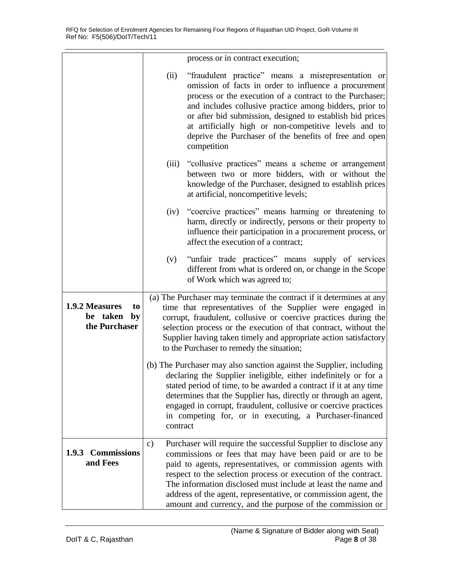|                                                         |          | process or in contract execution;                                                                                                                                                                                                                                                                                                                                                                                                                         |
|---------------------------------------------------------|----------|-----------------------------------------------------------------------------------------------------------------------------------------------------------------------------------------------------------------------------------------------------------------------------------------------------------------------------------------------------------------------------------------------------------------------------------------------------------|
|                                                         | (ii)     | "fraudulent practice" means a misrepresentation or<br>omission of facts in order to influence a procurement<br>process or the execution of a contract to the Purchaser;<br>and includes collusive practice among bidders, prior to<br>or after bid submission, designed to establish bid prices<br>at artificially high or non-competitive levels and to<br>deprive the Purchaser of the benefits of free and open<br>competition                         |
|                                                         | (iii)    | "collusive practices" means a scheme or arrangement<br>between two or more bidders, with or without the<br>knowledge of the Purchaser, designed to establish prices<br>at artificial, noncompetitive levels;                                                                                                                                                                                                                                              |
|                                                         | (iv)     | "coercive practices" means harming or threatening to<br>harm, directly or indirectly, persons or their property to<br>influence their participation in a procurement process, or<br>affect the execution of a contract;                                                                                                                                                                                                                                   |
|                                                         | (v)      | "unfair trade practices" means supply of services<br>different from what is ordered on, or change in the Scope<br>of Work which was agreed to;                                                                                                                                                                                                                                                                                                            |
| 1.9.2 Measures<br>to<br>be taken<br>by<br>the Purchaser |          | (a) The Purchaser may terminate the contract if it determines at any<br>time that representatives of the Supplier were engaged in<br>corrupt, fraudulent, collusive or coercive practices during the<br>selection process or the execution of that contract, without the<br>Supplier having taken timely and appropriate action satisfactory<br>to the Purchaser to remedy the situation;                                                                 |
|                                                         | contract | (b) The Purchaser may also sanction against the Supplier, including<br>declaring the Supplier ineligible, either indefinitely or for a<br>stated period of time, to be awarded a contract if it at any time<br>determines that the Supplier has, directly or through an agent,<br>engaged in corrupt, fraudulent, collusive or coercive practices<br>in competing for, or in executing, a Purchaser-financed                                              |
| <b>Commissions</b><br>1.9.3<br>and Fees                 | c)       | Purchaser will require the successful Supplier to disclose any<br>commissions or fees that may have been paid or are to be<br>paid to agents, representatives, or commission agents with<br>respect to the selection process or execution of the contract.<br>The information disclosed must include at least the name and<br>address of the agent, representative, or commission agent, the<br>amount and currency, and the purpose of the commission or |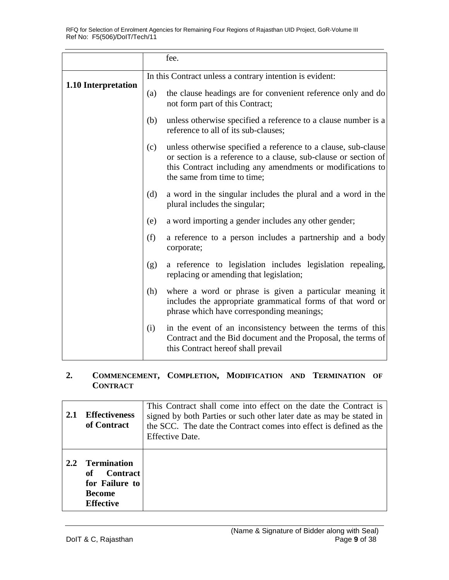|                     | fee.                                                     |                                                                                                                                                                                                                                |
|---------------------|----------------------------------------------------------|--------------------------------------------------------------------------------------------------------------------------------------------------------------------------------------------------------------------------------|
| 1.10 Interpretation | In this Contract unless a contrary intention is evident: |                                                                                                                                                                                                                                |
|                     | (a)                                                      | the clause headings are for convenient reference only and do<br>not form part of this Contract;                                                                                                                                |
|                     | (b)                                                      | unless otherwise specified a reference to a clause number is a<br>reference to all of its sub-clauses;                                                                                                                         |
|                     | (c)                                                      | unless otherwise specified a reference to a clause, sub-clause<br>or section is a reference to a clause, sub-clause or section of<br>this Contract including any amendments or modifications to<br>the same from time to time; |
|                     | (d)                                                      | a word in the singular includes the plural and a word in the<br>plural includes the singular;                                                                                                                                  |
|                     | (e)                                                      | a word importing a gender includes any other gender;                                                                                                                                                                           |
|                     | (f)                                                      | a reference to a person includes a partnership and a body<br>corporate;                                                                                                                                                        |
|                     | (g)                                                      | a reference to legislation includes legislation repealing,<br>replacing or amending that legislation;                                                                                                                          |
|                     | (h)                                                      | where a word or phrase is given a particular meaning it<br>includes the appropriate grammatical forms of that word or<br>phrase which have corresponding meanings;                                                             |
|                     | (i)                                                      | in the event of an inconsistency between the terms of this<br>Contract and the Bid document and the Proposal, the terms of<br>this Contract hereof shall prevail                                                               |

#### <span id="page-8-0"></span>**2. COMMENCEMENT, COMPLETION, MODIFICATION AND TERMINATION OF CONTRACT**

| 2.1<br>2.2 | <b>Effectiveness</b><br>of Contract<br><b>Termination</b>                    | signed by both Parties or such other later date as may be stated in<br>the SCC. The date the Contract comes into effect is defined as the<br>Effective Date. |
|------------|------------------------------------------------------------------------------|--------------------------------------------------------------------------------------------------------------------------------------------------------------|
|            | <b>Contract</b><br>оf<br>for Failure to<br><b>Become</b><br><b>Effective</b> |                                                                                                                                                              |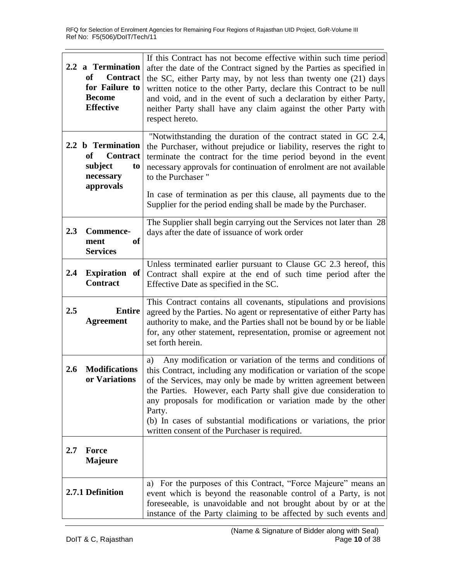|     | 2.2 a Termination<br><b>of</b><br><b>Contract</b><br>for Failure to<br><b>Become</b><br><b>Effective</b> | If this Contract has not become effective within such time period<br>after the date of the Contract signed by the Parties as specified in<br>the SC, either Party may, by not less than twenty one (21) days<br>written notice to the other Party, declare this Contract to be null<br>and void, and in the event of such a declaration by either Party,<br>neither Party shall have any claim against the other Party with<br>respect hereto.                                    |  |
|-----|----------------------------------------------------------------------------------------------------------|-----------------------------------------------------------------------------------------------------------------------------------------------------------------------------------------------------------------------------------------------------------------------------------------------------------------------------------------------------------------------------------------------------------------------------------------------------------------------------------|--|
|     | 2.2 b Termination<br>of<br><b>Contract</b><br>subject<br>to<br>necessary<br>approvals                    | "Notwithstanding the duration of the contract stated in GC 2.4,<br>the Purchaser, without prejudice or liability, reserves the right to<br>terminate the contract for the time period beyond in the event<br>necessary approvals for continuation of enrolment are not available<br>to the Purchaser"                                                                                                                                                                             |  |
|     |                                                                                                          | In case of termination as per this clause, all payments due to the<br>Supplier for the period ending shall be made by the Purchaser.                                                                                                                                                                                                                                                                                                                                              |  |
| 2.3 | Commence-<br>ment<br><b>of</b><br><b>Services</b>                                                        | The Supplier shall begin carrying out the Services not later than 28<br>days after the date of issuance of work order                                                                                                                                                                                                                                                                                                                                                             |  |
| 2.4 | Expiration of<br><b>Contract</b>                                                                         | Unless terminated earlier pursuant to Clause GC 2.3 hereof, this<br>Contract shall expire at the end of such time period after the<br>Effective Date as specified in the SC.                                                                                                                                                                                                                                                                                                      |  |
| 2.5 | <b>Entire</b><br><b>Agreement</b>                                                                        | This Contract contains all covenants, stipulations and provisions<br>agreed by the Parties. No agent or representative of either Party has<br>authority to make, and the Parties shall not be bound by or be liable<br>for, any other statement, representation, promise or agreement not<br>set forth herein.                                                                                                                                                                    |  |
| 2.6 | <b>Modifications</b><br>or Variations                                                                    | Any modification or variation of the terms and conditions of<br>a)<br>this Contract, including any modification or variation of the scope<br>of the Services, may only be made by written agreement between<br>the Parties. However, each Party shall give due consideration to<br>any proposals for modification or variation made by the other<br>Party.<br>(b) In cases of substantial modifications or variations, the prior<br>written consent of the Purchaser is required. |  |
| 2.7 | <b>Force</b><br><b>Majeure</b>                                                                           |                                                                                                                                                                                                                                                                                                                                                                                                                                                                                   |  |
|     | 2.7.1 Definition                                                                                         | For the purposes of this Contract, "Force Majeure" means an<br>a)<br>event which is beyond the reasonable control of a Party, is not<br>foreseeable, is unavoidable and not brought about by or at the<br>instance of the Party claiming to be affected by such events and                                                                                                                                                                                                        |  |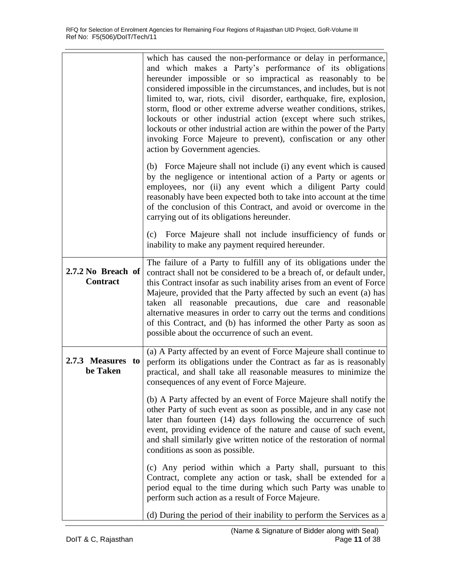| which has caused the non-performance or delay in performance,<br>and which makes a Party's performance of its obligations<br>hereunder impossible or so impractical as reasonably to be<br>considered impossible in the circumstances, and includes, but is not<br>limited to, war, riots, civil disorder, earthquake, fire, explosion,<br>storm, flood or other extreme adverse weather conditions, strikes,<br>lockouts or other industrial action (except where such strikes,<br>lockouts or other industrial action are within the power of the Party<br>invoking Force Majeure to prevent), confiscation or any other<br>action by Government agencies. |
|--------------------------------------------------------------------------------------------------------------------------------------------------------------------------------------------------------------------------------------------------------------------------------------------------------------------------------------------------------------------------------------------------------------------------------------------------------------------------------------------------------------------------------------------------------------------------------------------------------------------------------------------------------------|
| (b) Force Majeure shall not include (i) any event which is caused<br>by the negligence or intentional action of a Party or agents or<br>employees, nor (ii) any event which a diligent Party could<br>reasonably have been expected both to take into account at the time<br>of the conclusion of this Contract, and avoid or overcome in the<br>carrying out of its obligations hereunder.                                                                                                                                                                                                                                                                  |
| (c) Force Majeure shall not include insufficiency of funds or<br>inability to make any payment required hereunder.                                                                                                                                                                                                                                                                                                                                                                                                                                                                                                                                           |
| The failure of a Party to fulfill any of its obligations under the<br>$2.7.2$ No Breach of<br>contract shall not be considered to be a breach of, or default under,<br>this Contract insofar as such inability arises from an event of Force<br>Majeure, provided that the Party affected by such an event (a) has<br>taken all reasonable precautions, due care and reasonable<br>alternative measures in order to carry out the terms and conditions<br>of this Contract, and (b) has informed the other Party as soon as<br>possible about the occurrence of such an event.                                                                               |
| (a) A Party affected by an event of Force Majeure shall continue to<br>perform its obligations under the Contract as far as is reasonably<br>practical, and shall take all reasonable measures to minimize the<br>consequences of any event of Force Majeure.                                                                                                                                                                                                                                                                                                                                                                                                |
| (b) A Party affected by an event of Force Majeure shall notify the<br>other Party of such event as soon as possible, and in any case not<br>later than fourteen (14) days following the occurrence of such<br>event, providing evidence of the nature and cause of such event,<br>and shall similarly give written notice of the restoration of normal<br>conditions as soon as possible.                                                                                                                                                                                                                                                                    |
| (c) Any period within which a Party shall, pursuant to this<br>Contract, complete any action or task, shall be extended for a<br>period equal to the time during which such Party was unable to<br>perform such action as a result of Force Majeure.<br>(d) During the period of their inability to perform the Services as a                                                                                                                                                                                                                                                                                                                                |
|                                                                                                                                                                                                                                                                                                                                                                                                                                                                                                                                                                                                                                                              |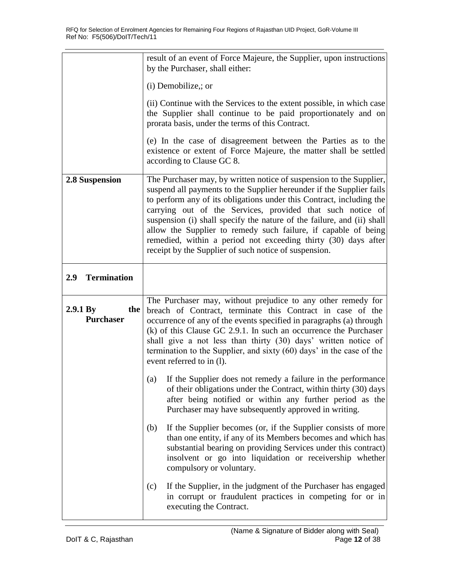|                                       | result of an event of Force Majeure, the Supplier, upon instructions<br>by the Purchaser, shall either:                                                                                                                                                                                                                                                                                                                                                                                                                                                  |  |  |
|---------------------------------------|----------------------------------------------------------------------------------------------------------------------------------------------------------------------------------------------------------------------------------------------------------------------------------------------------------------------------------------------------------------------------------------------------------------------------------------------------------------------------------------------------------------------------------------------------------|--|--|
|                                       | (i) Demobilize,; or                                                                                                                                                                                                                                                                                                                                                                                                                                                                                                                                      |  |  |
|                                       | (ii) Continue with the Services to the extent possible, in which case<br>the Supplier shall continue to be paid proportionately and on<br>prorata basis, under the terms of this Contract.                                                                                                                                                                                                                                                                                                                                                               |  |  |
|                                       | (e) In the case of disagreement between the Parties as to the<br>existence or extent of Force Majeure, the matter shall be settled<br>according to Clause GC 8.                                                                                                                                                                                                                                                                                                                                                                                          |  |  |
| 2.8 Suspension                        | The Purchaser may, by written notice of suspension to the Supplier,<br>suspend all payments to the Supplier hereunder if the Supplier fails<br>to perform any of its obligations under this Contract, including the<br>carrying out of the Services, provided that such notice of<br>suspension (i) shall specify the nature of the failure, and (ii) shall<br>allow the Supplier to remedy such failure, if capable of being<br>remedied, within a period not exceeding thirty (30) days after<br>receipt by the Supplier of such notice of suspension. |  |  |
| <b>Termination</b><br>2.9             |                                                                                                                                                                                                                                                                                                                                                                                                                                                                                                                                                          |  |  |
| 2.9.1 By<br>the  <br><b>Purchaser</b> | The Purchaser may, without prejudice to any other remedy for<br>breach of Contract, terminate this Contract in case of the<br>occurrence of any of the events specified in paragraphs (a) through<br>$(k)$ of this Clause GC 2.9.1. In such an occurrence the Purchaser<br>shall give a not less than thirty (30) days' written notice of<br>termination to the Supplier, and sixty $(60)$ days' in the case of the<br>event referred to in (1).                                                                                                         |  |  |
|                                       | (a) If the Supplier does not remedy a failure in the performance<br>of their obligations under the Contract, within thirty (30) days<br>after being notified or within any further period as the<br>Purchaser may have subsequently approved in writing.                                                                                                                                                                                                                                                                                                 |  |  |
|                                       | If the Supplier becomes (or, if the Supplier consists of more<br>(b)<br>than one entity, if any of its Members becomes and which has<br>substantial bearing on providing Services under this contract)<br>insolvent or go into liquidation or receivership whether<br>compulsory or voluntary.                                                                                                                                                                                                                                                           |  |  |
|                                       | If the Supplier, in the judgment of the Purchaser has engaged<br>(c)<br>in corrupt or fraudulent practices in competing for or in<br>executing the Contract.                                                                                                                                                                                                                                                                                                                                                                                             |  |  |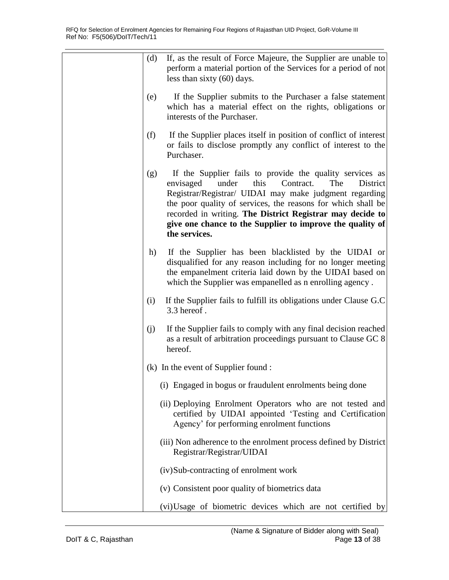| (d) | If, as the result of Force Majeure, the Supplier are unable to<br>perform a material portion of the Services for a period of not<br>less than sixty $(60)$ days.                                                                                                                                                                                                                            |
|-----|---------------------------------------------------------------------------------------------------------------------------------------------------------------------------------------------------------------------------------------------------------------------------------------------------------------------------------------------------------------------------------------------|
| (e) | If the Supplier submits to the Purchaser a false statement<br>which has a material effect on the rights, obligations or<br>interests of the Purchaser.                                                                                                                                                                                                                                      |
| (f) | If the Supplier places itself in position of conflict of interest<br>or fails to disclose promptly any conflict of interest to the<br>Purchaser.                                                                                                                                                                                                                                            |
| (g) | If the Supplier fails to provide the quality services as<br>this<br>The<br>envisaged<br>under<br>Contract.<br>District<br>Registrar/Registrar/ UIDAI may make judgment regarding<br>the poor quality of services, the reasons for which shall be<br>recorded in writing. The District Registrar may decide to<br>give one chance to the Supplier to improve the quality of<br>the services. |
| h)  | If the Supplier has been blacklisted by the UIDAI or<br>disqualified for any reason including for no longer meeting<br>the empanelment criteria laid down by the UIDAI based on<br>which the Supplier was empanelled as n enrolling agency.                                                                                                                                                 |
| (i) | If the Supplier fails to fulfill its obligations under Clause G.C<br>3.3 hereof.                                                                                                                                                                                                                                                                                                            |
| (j) | If the Supplier fails to comply with any final decision reached<br>as a result of arbitration proceedings pursuant to Clause GC 8<br>hereof.                                                                                                                                                                                                                                                |
|     | (k) In the event of Supplier found :                                                                                                                                                                                                                                                                                                                                                        |
|     | (i) Engaged in bogus or fraudulent enrolments being done                                                                                                                                                                                                                                                                                                                                    |
|     | (ii) Deploying Enrolment Operators who are not tested and<br>certified by UIDAI appointed 'Testing and Certification<br>Agency' for performing enrolment functions                                                                                                                                                                                                                          |
|     | (iii) Non adherence to the enrolment process defined by District<br>Registrar/Registrar/UIDAI                                                                                                                                                                                                                                                                                               |
|     | (iv)Sub-contracting of enrolment work                                                                                                                                                                                                                                                                                                                                                       |
|     | (v) Consistent poor quality of biometrics data                                                                                                                                                                                                                                                                                                                                              |
|     | (vi)Usage of biometric devices which are not certified by                                                                                                                                                                                                                                                                                                                                   |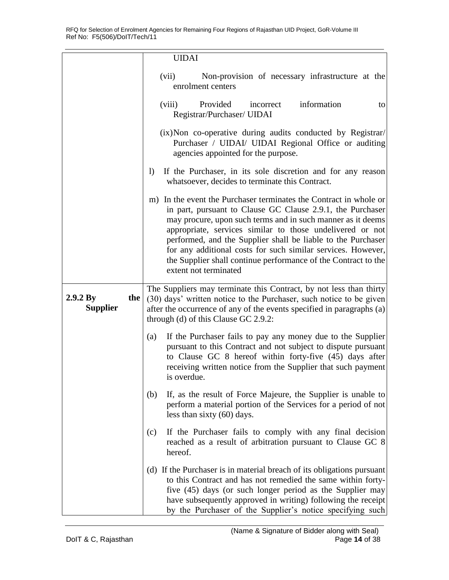|                                    | <b>UIDAI</b>                                                                                                                                                                                                                                                                                                                                                                                                                                                                           |  |  |
|------------------------------------|----------------------------------------------------------------------------------------------------------------------------------------------------------------------------------------------------------------------------------------------------------------------------------------------------------------------------------------------------------------------------------------------------------------------------------------------------------------------------------------|--|--|
|                                    | (vii)<br>Non-provision of necessary infrastructure at the<br>enrolment centers                                                                                                                                                                                                                                                                                                                                                                                                         |  |  |
|                                    | information<br>Provided<br>(viii)<br>incorrect<br>to<br>Registrar/Purchaser/ UIDAI                                                                                                                                                                                                                                                                                                                                                                                                     |  |  |
|                                    | (ix) Non co-operative during audits conducted by Registrar/<br>Purchaser / UIDAI/ UIDAI Regional Office or auditing<br>agencies appointed for the purpose.                                                                                                                                                                                                                                                                                                                             |  |  |
|                                    | If the Purchaser, in its sole discretion and for any reason<br>1)<br>whatsoever, decides to terminate this Contract.                                                                                                                                                                                                                                                                                                                                                                   |  |  |
|                                    | m) In the event the Purchaser terminates the Contract in whole or<br>in part, pursuant to Clause GC Clause 2.9.1, the Purchaser<br>may procure, upon such terms and in such manner as it deems<br>appropriate, services similar to those undelivered or not<br>performed, and the Supplier shall be liable to the Purchaser<br>for any additional costs for such similar services. However,<br>the Supplier shall continue performance of the Contract to the<br>extent not terminated |  |  |
| 2.9.2 By<br>the<br><b>Supplier</b> | The Suppliers may terminate this Contract, by not less than thirty<br>(30) days' written notice to the Purchaser, such notice to be given<br>after the occurrence of any of the events specified in paragraphs (a)<br>through (d) of this Clause GC 2.9.2:                                                                                                                                                                                                                             |  |  |
|                                    | If the Purchaser fails to pay any money due to the Supplier<br>(a)<br>pursuant to this Contract and not subject to dispute pursuant<br>to Clause GC 8 hereof within forty-five (45) days after<br>receiving written notice from the Supplier that such payment<br>is overdue.                                                                                                                                                                                                          |  |  |
|                                    | If, as the result of Force Majeure, the Supplier is unable to<br>(b)<br>perform a material portion of the Services for a period of not<br>less than sixty $(60)$ days.                                                                                                                                                                                                                                                                                                                 |  |  |
|                                    | If the Purchaser fails to comply with any final decision<br>(c)<br>reached as a result of arbitration pursuant to Clause GC 8<br>hereof.                                                                                                                                                                                                                                                                                                                                               |  |  |
|                                    | (d) If the Purchaser is in material breach of its obligations pursuant<br>to this Contract and has not remedied the same within forty-<br>five (45) days (or such longer period as the Supplier may<br>have subsequently approved in writing) following the receipt<br>by the Purchaser of the Supplier's notice specifying such                                                                                                                                                       |  |  |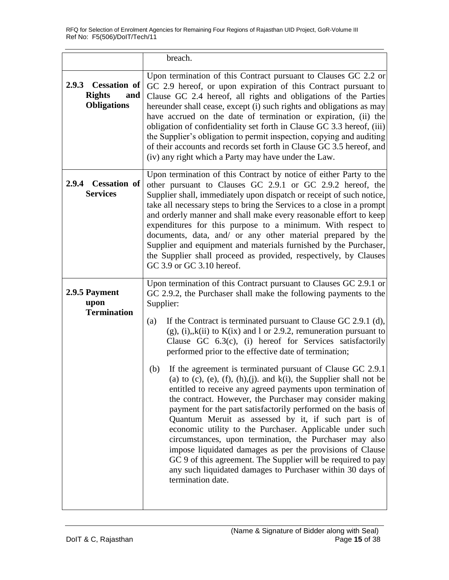|                                                                  | breach.                                                                                                                                                                                                                                                                                                                                                                                                                                                                                                                                                                                                                                                                                                                                                                                                                                                                                                                                                                                                                                                                                                                                                            |
|------------------------------------------------------------------|--------------------------------------------------------------------------------------------------------------------------------------------------------------------------------------------------------------------------------------------------------------------------------------------------------------------------------------------------------------------------------------------------------------------------------------------------------------------------------------------------------------------------------------------------------------------------------------------------------------------------------------------------------------------------------------------------------------------------------------------------------------------------------------------------------------------------------------------------------------------------------------------------------------------------------------------------------------------------------------------------------------------------------------------------------------------------------------------------------------------------------------------------------------------|
| 2.9.3 Cessation of<br><b>Rights</b><br>and<br><b>Obligations</b> | Upon termination of this Contract pursuant to Clauses GC 2.2 or<br>GC 2.9 hereof, or upon expiration of this Contract pursuant to<br>Clause GC 2.4 hereof, all rights and obligations of the Parties<br>hereunder shall cease, except (i) such rights and obligations as may<br>have accrued on the date of termination or expiration, (ii) the<br>obligation of confidentiality set forth in Clause GC 3.3 hereof, (iii)<br>the Supplier's obligation to permit inspection, copying and auditing<br>of their accounts and records set forth in Clause GC 3.5 hereof, and<br>(iv) any right which a Party may have under the Law.                                                                                                                                                                                                                                                                                                                                                                                                                                                                                                                                  |
| 2.9.4 Cessation of<br><b>Services</b>                            | Upon termination of this Contract by notice of either Party to the<br>other pursuant to Clauses GC 2.9.1 or GC 2.9.2 hereof, the<br>Supplier shall, immediately upon dispatch or receipt of such notice,<br>take all necessary steps to bring the Services to a close in a prompt<br>and orderly manner and shall make every reasonable effort to keep<br>expenditures for this purpose to a minimum. With respect to<br>documents, data, and/ or any other material prepared by the<br>Supplier and equipment and materials furnished by the Purchaser,<br>the Supplier shall proceed as provided, respectively, by Clauses<br>GC 3.9 or GC 3.10 hereof.                                                                                                                                                                                                                                                                                                                                                                                                                                                                                                          |
| 2.9.5 Payment<br>upon<br><b>Termination</b>                      | Upon termination of this Contract pursuant to Clauses GC 2.9.1 or<br>GC 2.9.2, the Purchaser shall make the following payments to the<br>Supplier:<br>If the Contract is terminated pursuant to Clause GC 2.9.1 (d),<br>(a)<br>$(g)$ , (i),,k(ii) to K(ix) and 1 or 2.9.2, remuneration pursuant to<br>Clause GC 6.3(c), (i) hereof for Services satisfactorily<br>performed prior to the effective date of termination;<br>If the agreement is terminated pursuant of Clause GC 2.9.1<br>(b)<br>(a) to (c), (e), (f), (h), (j). and $k(i)$ , the Supplier shall not be<br>entitled to receive any agreed payments upon termination of<br>the contract. However, the Purchaser may consider making<br>payment for the part satisfactorily performed on the basis of<br>Quantum Meruit as assessed by it, if such part is of<br>economic utility to the Purchaser. Applicable under such<br>circumstances, upon termination, the Purchaser may also<br>impose liquidated damages as per the provisions of Clause<br>GC 9 of this agreement. The Supplier will be required to pay<br>any such liquidated damages to Purchaser within 30 days of<br>termination date. |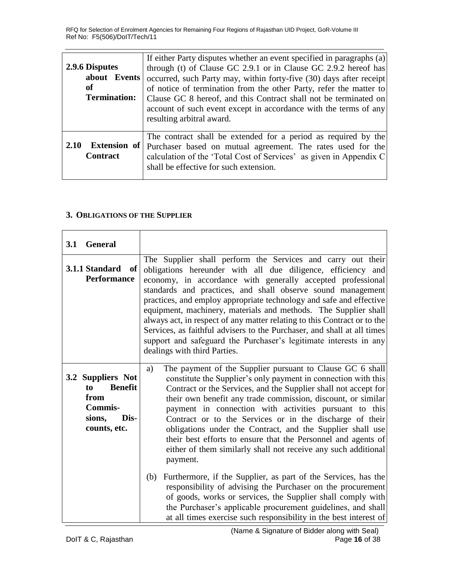| 2.9.6 Disputes<br>about Events<br>of<br><b>Termination:</b> | If either Party disputes whether an event specified in paragraphs (a)<br>through (t) of Clause GC 2.9.1 or in Clause GC 2.9.2 hereof has<br>occurred, such Party may, within forty-five (30) days after receipt<br>of notice of termination from the other Party, refer the matter to<br>Clause GC 8 hereof, and this Contract shall not be terminated on<br>account of such event except in accordance with the terms of any<br>resulting arbitral award. |
|-------------------------------------------------------------|------------------------------------------------------------------------------------------------------------------------------------------------------------------------------------------------------------------------------------------------------------------------------------------------------------------------------------------------------------------------------------------------------------------------------------------------------------|
| Extension of<br>2.10<br><b>Contract</b>                     | The contract shall be extended for a period as required by the<br>Purchaser based on mutual agreement. The rates used for the<br>calculation of the 'Total Cost of Services' as given in Appendix C<br>shall be effective for such extension.                                                                                                                                                                                                              |

#### <span id="page-15-0"></span>**3. OBLIGATIONS OF THE SUPPLIER**

| 3.1 | <b>General</b>                                                                                        |                                                                                                                                                                                                                                                                                                                                                                                                                                                                                                                                                                                                                                                                                                                                                                                                                                                                                                                                                     |
|-----|-------------------------------------------------------------------------------------------------------|-----------------------------------------------------------------------------------------------------------------------------------------------------------------------------------------------------------------------------------------------------------------------------------------------------------------------------------------------------------------------------------------------------------------------------------------------------------------------------------------------------------------------------------------------------------------------------------------------------------------------------------------------------------------------------------------------------------------------------------------------------------------------------------------------------------------------------------------------------------------------------------------------------------------------------------------------------|
|     | 3.1.1 Standard<br>of<br><b>Performance</b>                                                            | The Supplier shall perform the Services and carry out their<br>obligations hereunder with all due diligence, efficiency and<br>economy, in accordance with generally accepted professional<br>standards and practices, and shall observe sound management<br>practices, and employ appropriate technology and safe and effective<br>equipment, machinery, materials and methods. The Supplier shall<br>always act, in respect of any matter relating to this Contract or to the<br>Services, as faithful advisers to the Purchaser, and shall at all times<br>support and safeguard the Purchaser's legitimate interests in any<br>dealings with third Parties.                                                                                                                                                                                                                                                                                     |
|     | 3.2 Suppliers Not<br><b>Benefit</b><br>to<br>from<br><b>Commis-</b><br>sions,<br>Dis-<br>counts, etc. | The payment of the Supplier pursuant to Clause GC 6 shall<br>a)<br>constitute the Supplier's only payment in connection with this<br>Contract or the Services, and the Supplier shall not accept for<br>their own benefit any trade commission, discount, or similar<br>payment in connection with activities pursuant to this<br>Contract or to the Services or in the discharge of their<br>obligations under the Contract, and the Supplier shall use<br>their best efforts to ensure that the Personnel and agents of<br>either of them similarly shall not receive any such additional<br>payment.<br>Furthermore, if the Supplier, as part of the Services, has the<br>(b)<br>responsibility of advising the Purchaser on the procurement<br>of goods, works or services, the Supplier shall comply with<br>the Purchaser's applicable procurement guidelines, and shall<br>at all times exercise such responsibility in the best interest of |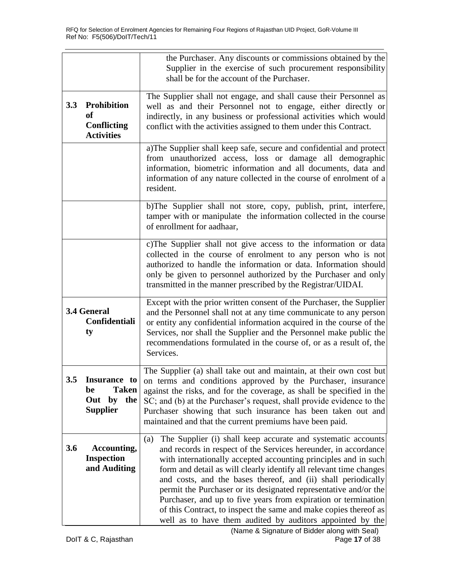|     |                                                                           | the Purchaser. Any discounts or commissions obtained by the<br>Supplier in the exercise of such procurement responsibility                                                                                                                                                                                                                                                                                                                                                                                                                                                                                              |
|-----|---------------------------------------------------------------------------|-------------------------------------------------------------------------------------------------------------------------------------------------------------------------------------------------------------------------------------------------------------------------------------------------------------------------------------------------------------------------------------------------------------------------------------------------------------------------------------------------------------------------------------------------------------------------------------------------------------------------|
|     |                                                                           | shall be for the account of the Purchaser.                                                                                                                                                                                                                                                                                                                                                                                                                                                                                                                                                                              |
| 3.3 | <b>Prohibition</b><br>of<br><b>Conflicting</b><br><b>Activities</b>       | The Supplier shall not engage, and shall cause their Personnel as<br>well as and their Personnel not to engage, either directly or<br>indirectly, in any business or professional activities which would<br>conflict with the activities assigned to them under this Contract.                                                                                                                                                                                                                                                                                                                                          |
|     |                                                                           | a) The Supplier shall keep safe, secure and confidential and protect<br>from unauthorized access, loss or damage all demographic<br>information, biometric information and all documents, data and<br>information of any nature collected in the course of enrolment of a<br>resident.                                                                                                                                                                                                                                                                                                                                  |
|     |                                                                           | b)The Supplier shall not store, copy, publish, print, interfere,<br>tamper with or manipulate the information collected in the course<br>of enrollment for aadhaar,                                                                                                                                                                                                                                                                                                                                                                                                                                                     |
|     |                                                                           | c)The Supplier shall not give access to the information or data<br>collected in the course of enrolment to any person who is not<br>authorized to handle the information or data. Information should<br>only be given to personnel authorized by the Purchaser and only<br>transmitted in the manner prescribed by the Registrar/UIDAI.                                                                                                                                                                                                                                                                                 |
|     | 3.4 General<br>Confidentiali<br>ty                                        | Except with the prior written consent of the Purchaser, the Supplier<br>and the Personnel shall not at any time communicate to any person<br>or entity any confidential information acquired in the course of the<br>Services, nor shall the Supplier and the Personnel make public the<br>recommendations formulated in the course of, or as a result of, the<br>Services.                                                                                                                                                                                                                                             |
| 3.5 | Insurance to<br><b>Taken</b><br>be<br>Out<br>by<br>the<br><b>Supplier</b> | The Supplier (a) shall take out and maintain, at their own cost but<br>on terms and conditions approved by the Purchaser, insurance<br>against the risks, and for the coverage, as shall be specified in the<br>SC; and (b) at the Purchaser's request, shall provide evidence to the<br>Purchaser showing that such insurance has been taken out and<br>maintained and that the current premiums have been paid.                                                                                                                                                                                                       |
| 3.6 | Accounting,<br><b>Inspection</b><br>and Auditing                          | The Supplier (i) shall keep accurate and systematic accounts<br>(a)<br>and records in respect of the Services hereunder, in accordance<br>with internationally accepted accounting principles and in such<br>form and detail as will clearly identify all relevant time changes<br>and costs, and the bases thereof, and (ii) shall periodically<br>permit the Purchaser or its designated representative and/or the<br>Purchaser, and up to five years from expiration or termination<br>of this Contract, to inspect the same and make copies thereof as<br>well as to have them audited by auditors appointed by the |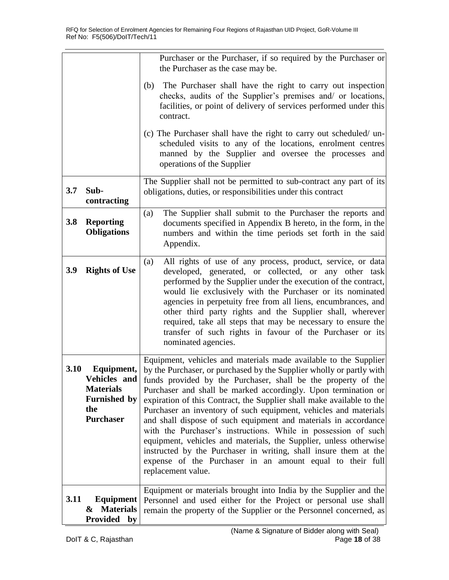|             |                                                                                  | Purchaser or the Purchaser, if so required by the Purchaser or<br>the Purchaser as the case may be.                                                                                                                                                                                                                                                                                                                                                                                                                                                                                                                                                                                                                                                                                                           |
|-------------|----------------------------------------------------------------------------------|---------------------------------------------------------------------------------------------------------------------------------------------------------------------------------------------------------------------------------------------------------------------------------------------------------------------------------------------------------------------------------------------------------------------------------------------------------------------------------------------------------------------------------------------------------------------------------------------------------------------------------------------------------------------------------------------------------------------------------------------------------------------------------------------------------------|
|             |                                                                                  | (b) The Purchaser shall have the right to carry out inspection<br>checks, audits of the Supplier's premises and/ or locations,<br>facilities, or point of delivery of services performed under this<br>contract.                                                                                                                                                                                                                                                                                                                                                                                                                                                                                                                                                                                              |
|             |                                                                                  | (c) The Purchaser shall have the right to carry out scheduled/ un-<br>scheduled visits to any of the locations, enrolment centres<br>manned by the Supplier and oversee the processes and<br>operations of the Supplier                                                                                                                                                                                                                                                                                                                                                                                                                                                                                                                                                                                       |
| 3.7         | Sub-<br>contracting                                                              | The Supplier shall not be permitted to sub-contract any part of its<br>obligations, duties, or responsibilities under this contract                                                                                                                                                                                                                                                                                                                                                                                                                                                                                                                                                                                                                                                                           |
| 3.8         | <b>Reporting</b><br><b>Obligations</b>                                           | The Supplier shall submit to the Purchaser the reports and<br>(a)<br>documents specified in Appendix B hereto, in the form, in the<br>numbers and within the time periods set forth in the said<br>Appendix.                                                                                                                                                                                                                                                                                                                                                                                                                                                                                                                                                                                                  |
| 3.9         | <b>Rights of Use</b>                                                             | All rights of use of any process, product, service, or data<br>(a)<br>developed, generated, or collected, or any other task<br>performed by the Supplier under the execution of the contract,<br>would lie exclusively with the Purchaser or its nominated<br>agencies in perpetuity free from all liens, encumbrances, and<br>other third party rights and the Supplier shall, wherever<br>required, take all steps that may be necessary to ensure the<br>transfer of such rights in favour of the Purchaser or its<br>nominated agencies.                                                                                                                                                                                                                                                                  |
| <b>3.10</b> | Equipment,<br><b>Materials</b><br><b>Furnished</b> by<br>the<br><b>Purchaser</b> | Equipment, vehicles and materials made available to the Supplier<br>by the Purchaser, or purchased by the Supplier wholly or partly with<br><b>Vehicles and</b> funds provided by the Purchaser, shall be the property of the<br>Purchaser and shall be marked accordingly. Upon termination or<br>expiration of this Contract, the Supplier shall make available to the<br>Purchaser an inventory of such equipment, vehicles and materials<br>and shall dispose of such equipment and materials in accordance<br>with the Purchaser's instructions. While in possession of such<br>equipment, vehicles and materials, the Supplier, unless otherwise<br>instructed by the Purchaser in writing, shall insure them at the<br>expense of the Purchaser in an amount equal to their full<br>replacement value. |
| 3.11        | <b>Equipment</b><br>& Materials<br>Provided by                                   | Equipment or materials brought into India by the Supplier and the<br>Personnel and used either for the Project or personal use shall<br>remain the property of the Supplier or the Personnel concerned, as                                                                                                                                                                                                                                                                                                                                                                                                                                                                                                                                                                                                    |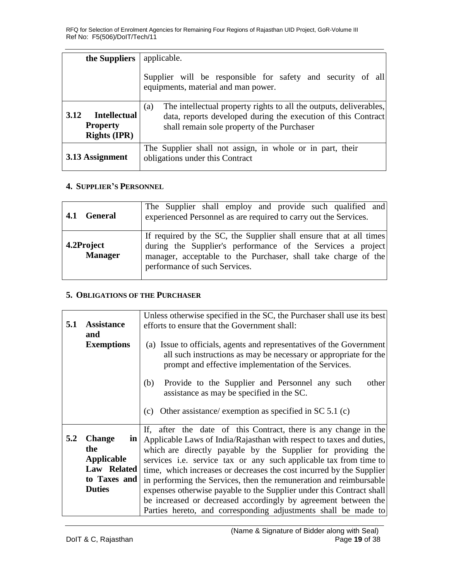| the Suppliers                                                         | applicable.                                                                                                                                                                               |
|-----------------------------------------------------------------------|-------------------------------------------------------------------------------------------------------------------------------------------------------------------------------------------|
|                                                                       | Supplier will be responsible for safety and security of all<br>equipments, material and man power.                                                                                        |
| <b>Intellectual</b><br>3.12<br><b>Property</b><br><b>Rights (IPR)</b> | The intellectual property rights to all the outputs, deliverables,<br>(a)<br>data, reports developed during the execution of this Contract<br>shall remain sole property of the Purchaser |
| 3.13 Assignment                                                       | The Supplier shall not assign, in whole or in part, their<br>obligations under this Contract                                                                                              |

#### <span id="page-18-0"></span>**4. SUPPLIER'S PERSONNEL**

| <b>General</b>               | The Supplier shall employ and provide such qualified and                                                                                                                                                                             |
|------------------------------|--------------------------------------------------------------------------------------------------------------------------------------------------------------------------------------------------------------------------------------|
| 4.1                          | experienced Personnel as are required to carry out the Services.                                                                                                                                                                     |
| 4.2Project<br><b>Manager</b> | If required by the SC, the Supplier shall ensure that at all times<br>during the Supplier's performance of the Services a project<br>manager, acceptable to the Purchaser, shall take charge of the<br>performance of such Services. |

## <span id="page-18-1"></span>**5. OBLIGATIONS OF THE PURCHASER**

|     |                          | Unless otherwise specified in the SC, the Purchaser shall use its best                                                                                                                              |
|-----|--------------------------|-----------------------------------------------------------------------------------------------------------------------------------------------------------------------------------------------------|
| 5.1 | <b>Assistance</b>        | efforts to ensure that the Government shall:                                                                                                                                                        |
|     | and                      |                                                                                                                                                                                                     |
|     | <b>Exemptions</b>        | Issue to officials, agents and representatives of the Government<br>(a)<br>all such instructions as may be necessary or appropriate for the<br>prompt and effective implementation of the Services. |
|     |                          | Provide to the Supplier and Personnel any such<br>(b)<br>other<br>assistance as may be specified in the SC.                                                                                         |
|     |                          | Other assistance/ exemption as specified in SC $5.1$ (c)<br>(c)                                                                                                                                     |
|     |                          | If, after the date of this Contract, there is any change in the                                                                                                                                     |
| 5.2 | <b>Change</b><br>$\ln  $ | Applicable Laws of India/Rajasthan with respect to taxes and duties,                                                                                                                                |
|     | the                      | which are directly payable by the Supplier for providing the                                                                                                                                        |
|     | <b>Applicable</b>        | services i.e. service tax or any such applicable tax from time to                                                                                                                                   |
|     | Law Related              | time, which increases or decreases the cost incurred by the Supplier                                                                                                                                |
|     | to Taxes and             | in performing the Services, then the remuneration and reimbursable                                                                                                                                  |
|     | <b>Duties</b>            | expenses otherwise payable to the Supplier under this Contract shall                                                                                                                                |
|     |                          | be increased or decreased accordingly by agreement between the                                                                                                                                      |
|     |                          | Parties hereto, and corresponding adjustments shall be made to                                                                                                                                      |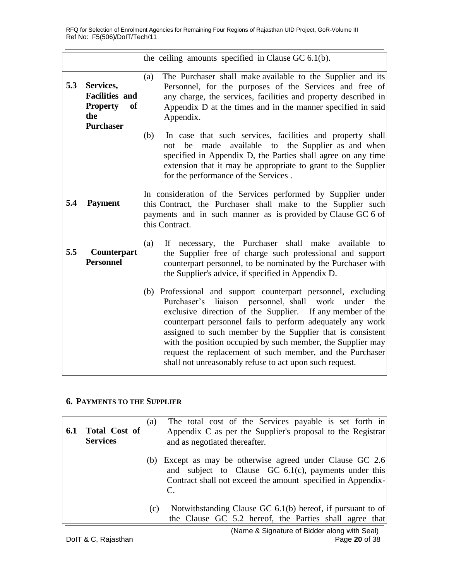|     |                                                                                               | the ceiling amounts specified in Clause GC 6.1(b).                                                                                                                                                                                                                                                                                                                                                                                                                                                                                                                                    |
|-----|-----------------------------------------------------------------------------------------------|---------------------------------------------------------------------------------------------------------------------------------------------------------------------------------------------------------------------------------------------------------------------------------------------------------------------------------------------------------------------------------------------------------------------------------------------------------------------------------------------------------------------------------------------------------------------------------------|
|     |                                                                                               |                                                                                                                                                                                                                                                                                                                                                                                                                                                                                                                                                                                       |
| 5.3 | Services,<br><b>Facilities and</b><br><b>of</b><br><b>Property</b><br>the<br><b>Purchaser</b> | The Purchaser shall make available to the Supplier and its<br>(a)<br>Personnel, for the purposes of the Services and free of<br>any charge, the services, facilities and property described in<br>Appendix D at the times and in the manner specified in said<br>Appendix.<br>(b)<br>In case that such services, facilities and property shall<br>available to the Supplier as and when<br>made<br>be<br>not<br>specified in Appendix D, the Parties shall agree on any time<br>extension that it may be appropriate to grant to the Supplier<br>for the performance of the Services. |
| 5.4 | <b>Payment</b>                                                                                | In consideration of the Services performed by Supplier under<br>this Contract, the Purchaser shall make to the Supplier such<br>payments and in such manner as is provided by Clause GC 6 of<br>this Contract.                                                                                                                                                                                                                                                                                                                                                                        |
| 5.5 | Counterpart<br><b>Personnel</b>                                                               | necessary, the Purchaser shall make available to<br>(a)<br>If<br>the Supplier free of charge such professional and support<br>counterpart personnel, to be nominated by the Purchaser with<br>the Supplier's advice, if specified in Appendix D.<br>(b) Professional and support counterpart personnel, excluding<br>liaison personnel, shall<br>Purchaser's<br>work<br>under<br>the<br>exclusive direction of the Supplier. If any member of the                                                                                                                                     |
|     |                                                                                               | counterpart personnel fails to perform adequately any work<br>assigned to such member by the Supplier that is consistent<br>with the position occupied by such member, the Supplier may<br>request the replacement of such member, and the Purchaser<br>shall not unreasonably refuse to act upon such request.                                                                                                                                                                                                                                                                       |

#### <span id="page-19-0"></span>**6. PAYMENTS TO THE SUPPLIER**

| 6.1 | <b>Total Cost of</b><br><b>Services</b> | The total cost of the Services payable is set forth in<br>(a)<br>Appendix C as per the Supplier's proposal to the Registrar<br>and as negotiated thereafter.                                 |
|-----|-----------------------------------------|----------------------------------------------------------------------------------------------------------------------------------------------------------------------------------------------|
|     |                                         | Except as may be otherwise agreed under Clause GC 2.6<br>(b)<br>and subject to Clause GC $6.1(c)$ , payments under this<br>Contract shall not exceed the amount specified in Appendix-<br>C. |
|     |                                         | Notwithstanding Clause GC 6.1(b) hereof, if pursuant to of<br>(c)<br>the Clause GC 5.2 hereof, the Parties shall agree that                                                                  |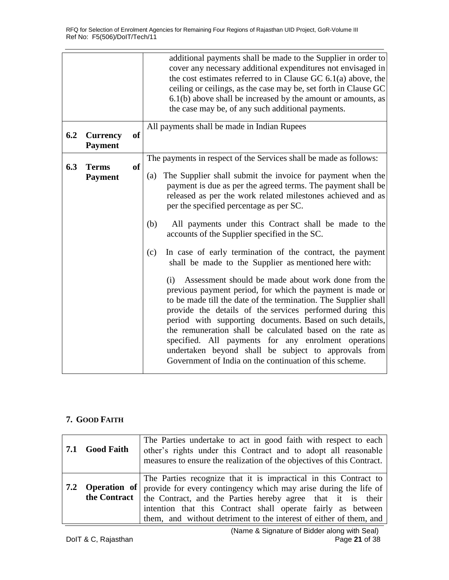| 6.2 | <b>Currency</b>                | of        | additional payments shall be made to the Supplier in order to<br>cover any necessary additional expenditures not envisaged in<br>the cost estimates referred to in Clause GC $6.1(a)$ above, the<br>ceiling or ceilings, as the case may be, set forth in Clause GC<br>6.1(b) above shall be increased by the amount or amounts, as<br>the case may be, of any such additional payments.<br>All payments shall be made in Indian Rupees                                                                                                                    |
|-----|--------------------------------|-----------|------------------------------------------------------------------------------------------------------------------------------------------------------------------------------------------------------------------------------------------------------------------------------------------------------------------------------------------------------------------------------------------------------------------------------------------------------------------------------------------------------------------------------------------------------------|
|     | <b>Payment</b>                 |           |                                                                                                                                                                                                                                                                                                                                                                                                                                                                                                                                                            |
| 6.3 | <b>Terms</b><br><b>Payment</b> | <b>of</b> | The payments in respect of the Services shall be made as follows:<br>The Supplier shall submit the invoice for payment when the<br>(a)<br>payment is due as per the agreed terms. The payment shall be<br>released as per the work related milestones achieved and as<br>per the specified percentage as per SC.                                                                                                                                                                                                                                           |
|     |                                |           | All payments under this Contract shall be made to the<br>(b)<br>accounts of the Supplier specified in the SC.                                                                                                                                                                                                                                                                                                                                                                                                                                              |
|     |                                |           | In case of early termination of the contract, the payment<br>(c)<br>shall be made to the Supplier as mentioned here with:                                                                                                                                                                                                                                                                                                                                                                                                                                  |
|     |                                |           | Assessment should be made about work done from the<br>(i)<br>previous payment period, for which the payment is made or<br>to be made till the date of the termination. The Supplier shall<br>provide the details of the services performed during this<br>period with supporting documents. Based on such details,<br>the remuneration shall be calculated based on the rate as<br>specified. All payments for any enrolment operations<br>undertaken beyond shall be subject to approvals from<br>Government of India on the continuation of this scheme. |

## <span id="page-20-0"></span>**7. GOOD FAITH**

|     | 7.1 Good Faith                      | The Parties undertake to act in good faith with respect to each<br>other's rights under this Contract and to adopt all reasonable<br>measures to ensure the realization of the objectives of this Contract.                                                                                                                               |
|-----|-------------------------------------|-------------------------------------------------------------------------------------------------------------------------------------------------------------------------------------------------------------------------------------------------------------------------------------------------------------------------------------------|
| 7.2 | <b>Operation</b> of<br>the Contract | The Parties recognize that it is impractical in this Contract to<br>provide for every contingency which may arise during the life of<br>the Contract, and the Parties hereby agree that it is their<br>intention that this Contract shall operate fairly as between<br>them, and without detriment to the interest of either of them, and |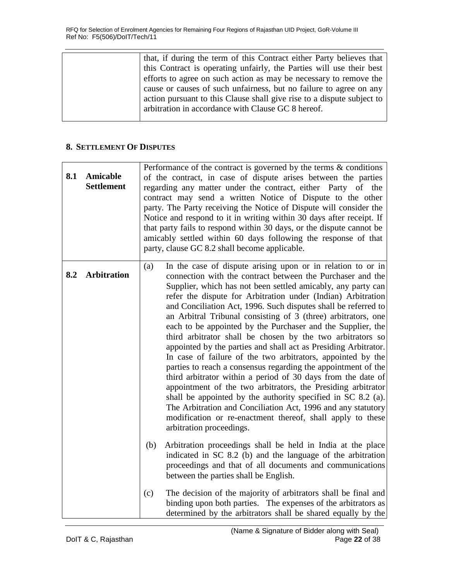| that, if during the term of this Contract either Party believes that   |
|------------------------------------------------------------------------|
| this Contract is operating unfairly, the Parties will use their best   |
| efforts to agree on such action as may be necessary to remove the      |
| cause or causes of such unfairness, but no failure to agree on any     |
| action pursuant to this Clause shall give rise to a dispute subject to |
| arbitration in accordance with Clause GC 8 hereof.                     |
|                                                                        |

## <span id="page-21-0"></span>**8. SETTLEMENT OF DISPUTES**

| 8.1 | Amicable<br><b>Settlement</b> | Performance of the contract is governed by the terms $\&$ conditions<br>of the contract, in case of dispute arises between the parties<br>regarding any matter under the contract, either Party of the<br>contract may send a written Notice of Dispute to the other<br>party. The Party receiving the Notice of Dispute will consider the<br>Notice and respond to it in writing within 30 days after receipt. If<br>that party fails to respond within 30 days, or the dispute cannot be<br>amicably settled within 60 days following the response of that<br>party, clause GC 8.2 shall become applicable.                                                                                                                                                                                                                                                                                                                                                                                                                                                                                 |
|-----|-------------------------------|-----------------------------------------------------------------------------------------------------------------------------------------------------------------------------------------------------------------------------------------------------------------------------------------------------------------------------------------------------------------------------------------------------------------------------------------------------------------------------------------------------------------------------------------------------------------------------------------------------------------------------------------------------------------------------------------------------------------------------------------------------------------------------------------------------------------------------------------------------------------------------------------------------------------------------------------------------------------------------------------------------------------------------------------------------------------------------------------------|
| 8.2 | <b>Arbitration</b>            | In the case of dispute arising upon or in relation to or in<br>(a)<br>connection with the contract between the Purchaser and the<br>Supplier, which has not been settled amicably, any party can<br>refer the dispute for Arbitration under (Indian) Arbitration<br>and Conciliation Act, 1996. Such disputes shall be referred to<br>an Arbitral Tribunal consisting of 3 (three) arbitrators, one<br>each to be appointed by the Purchaser and the Supplier, the<br>third arbitrator shall be chosen by the two arbitrators so<br>appointed by the parties and shall act as Presiding Arbitrator.<br>In case of failure of the two arbitrators, appointed by the<br>parties to reach a consensus regarding the appointment of the<br>third arbitrator within a period of 30 days from the date of<br>appointment of the two arbitrators, the Presiding arbitrator<br>shall be appointed by the authority specified in SC 8.2 (a).<br>The Arbitration and Conciliation Act, 1996 and any statutory<br>modification or re-enactment thereof, shall apply to these<br>arbitration proceedings. |
|     |                               | Arbitration proceedings shall be held in India at the place<br>(b)<br>indicated in SC 8.2 (b) and the language of the arbitration<br>proceedings and that of all documents and communications<br>between the parties shall be English.                                                                                                                                                                                                                                                                                                                                                                                                                                                                                                                                                                                                                                                                                                                                                                                                                                                        |
|     |                               | The decision of the majority of arbitrators shall be final and<br>(c)<br>binding upon both parties. The expenses of the arbitrators as<br>determined by the arbitrators shall be shared equally by the                                                                                                                                                                                                                                                                                                                                                                                                                                                                                                                                                                                                                                                                                                                                                                                                                                                                                        |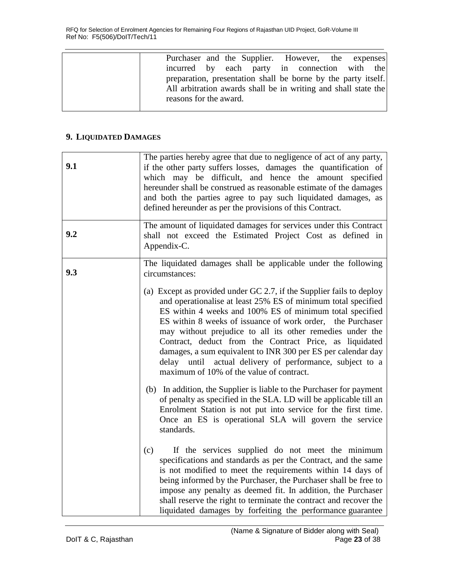| Purchaser and the Supplier. However, the expenses              |  |  |  |
|----------------------------------------------------------------|--|--|--|
| incurred by each party in connection with the                  |  |  |  |
| preparation, presentation shall be borne by the party itself.  |  |  |  |
| All arbitration awards shall be in writing and shall state the |  |  |  |
| reasons for the award.                                         |  |  |  |
|                                                                |  |  |  |

#### <span id="page-22-0"></span>**9. LIQUIDATED DAMAGES**

| 9.1 | The parties hereby agree that due to negligence of act of any party,<br>if the other party suffers losses, damages the quantification of<br>which may be difficult, and hence the amount specified<br>hereunder shall be construed as reasonable estimate of the damages<br>and both the parties agree to pay such liquidated damages, as<br>defined hereunder as per the provisions of this Contract.                                                                                                                                                          |
|-----|-----------------------------------------------------------------------------------------------------------------------------------------------------------------------------------------------------------------------------------------------------------------------------------------------------------------------------------------------------------------------------------------------------------------------------------------------------------------------------------------------------------------------------------------------------------------|
| 9.2 | The amount of liquidated damages for services under this Contract<br>shall not exceed the Estimated Project Cost as defined in<br>Appendix-C.                                                                                                                                                                                                                                                                                                                                                                                                                   |
| 9.3 | The liquidated damages shall be applicable under the following<br>circumstances:                                                                                                                                                                                                                                                                                                                                                                                                                                                                                |
|     | (a) Except as provided under GC 2.7, if the Supplier fails to deploy<br>and operationalise at least 25% ES of minimum total specified<br>ES within 4 weeks and 100% ES of minimum total specified<br>ES within 8 weeks of issuance of work order, the Purchaser<br>may without prejudice to all its other remedies under the<br>Contract, deduct from the Contract Price, as liquidated<br>damages, a sum equivalent to INR 300 per ES per calendar day<br>delay until actual delivery of performance, subject to a<br>maximum of 10% of the value of contract. |
|     | (b) In addition, the Supplier is liable to the Purchaser for payment<br>of penalty as specified in the SLA. LD will be applicable till an<br>Enrolment Station is not put into service for the first time.<br>Once an ES is operational SLA will govern the service<br>standards.                                                                                                                                                                                                                                                                               |
|     | If the services supplied do not meet the minimum<br>(c)<br>specifications and standards as per the Contract, and the same<br>is not modified to meet the requirements within 14 days of<br>being informed by the Purchaser, the Purchaser shall be free to<br>impose any penalty as deemed fit. In addition, the Purchaser<br>shall reserve the right to terminate the contract and recover the<br>liquidated damages by forfeiting the performance guarantee                                                                                                   |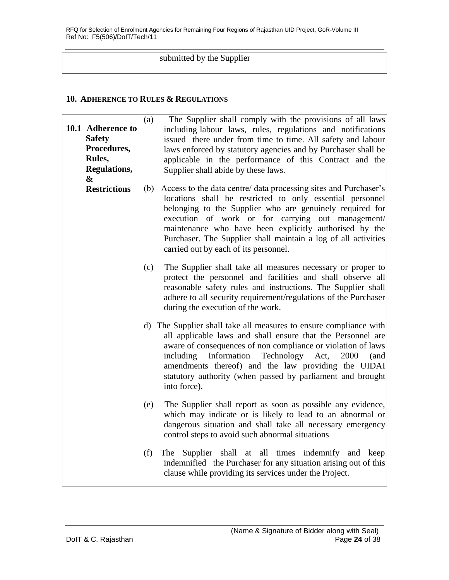| submitted by the Supplier |  |
|---------------------------|--|
|                           |  |

#### <span id="page-23-0"></span>**10. ADHERENCE TO RULES & REGULATIONS**

| 10.1 Adherence to<br><b>Safety</b><br>Procedures,<br>Rules,<br>Regulations,<br>& | (a)<br>The Supplier shall comply with the provisions of all laws<br>including labour laws, rules, regulations and notifications<br>issued there under from time to time. All safety and labour<br>laws enforced by statutory agencies and by Purchaser shall be<br>applicable in the performance of this Contract and the<br>Supplier shall abide by these laws.                                                           |
|----------------------------------------------------------------------------------|----------------------------------------------------------------------------------------------------------------------------------------------------------------------------------------------------------------------------------------------------------------------------------------------------------------------------------------------------------------------------------------------------------------------------|
| <b>Restrictions</b>                                                              | Access to the data centre/ data processing sites and Purchaser's<br>(b)<br>locations shall be restricted to only essential personnel<br>belonging to the Supplier who are genuinely required for<br>execution of work or for carrying out management/<br>maintenance who have been explicitly authorised by the<br>Purchaser. The Supplier shall maintain a log of all activities<br>carried out by each of its personnel. |
|                                                                                  | (c)<br>The Supplier shall take all measures necessary or proper to<br>protect the personnel and facilities and shall observe all<br>reasonable safety rules and instructions. The Supplier shall<br>adhere to all security requirement/regulations of the Purchaser<br>during the execution of the work.                                                                                                                   |
|                                                                                  | d) The Supplier shall take all measures to ensure compliance with<br>all applicable laws and shall ensure that the Personnel are<br>aware of consequences of non compliance or violation of laws<br>including Information<br>Technology<br>Act,<br>2000<br>(and<br>amendments thereof) and the law providing the UIDAI<br>statutory authority (when passed by parliament and brought<br>into force).                       |
|                                                                                  | The Supplier shall report as soon as possible any evidence,<br>(e)<br>which may indicate or is likely to lead to an abnormal or<br>dangerous situation and shall take all necessary emergency<br>control steps to avoid such abnormal situations                                                                                                                                                                           |
|                                                                                  | (f)<br>The Supplier shall at all times indemnify and keep<br>indemnified the Purchaser for any situation arising out of this<br>clause while providing its services under the Project.                                                                                                                                                                                                                                     |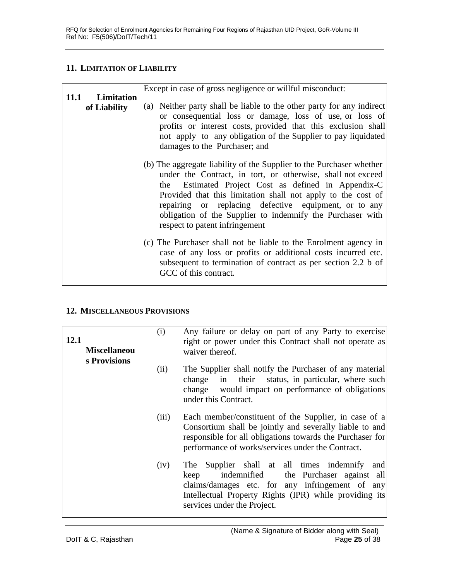## <span id="page-24-0"></span>**11. LIMITATION OF LIABILITY**

| 11.1<br>Limitation | Except in case of gross negligence or willful misconduct:                                                                                                                                                                                                                                                                                                                                                           |  |  |  |
|--------------------|---------------------------------------------------------------------------------------------------------------------------------------------------------------------------------------------------------------------------------------------------------------------------------------------------------------------------------------------------------------------------------------------------------------------|--|--|--|
| of Liability       | (a) Neither party shall be liable to the other party for any indirect<br>or consequential loss or damage, loss of use, or loss of<br>profits or interest costs, provided that this exclusion shall<br>not apply to any obligation of the Supplier to pay liquidated<br>damages to the Purchaser; and                                                                                                                |  |  |  |
|                    | (b) The aggregate liability of the Supplier to the Purchaser whether<br>under the Contract, in tort, or otherwise, shall not exceed<br>the Estimated Project Cost as defined in Appendix-C<br>Provided that this limitation shall not apply to the cost of<br>repairing or replacing defective equipment, or to any<br>obligation of the Supplier to indemnify the Purchaser with<br>respect to patent infringement |  |  |  |
|                    | (c) The Purchaser shall not be liable to the Enrolment agency in<br>case of any loss or profits or additional costs incurred etc.<br>subsequent to termination of contract as per section 2.2 b of<br>GCC of this contract.                                                                                                                                                                                         |  |  |  |

## <span id="page-24-1"></span>**12. MISCELLANEOUS PROVISIONS**

| 12.1<br><b>Miscellaneou</b><br>s Provisions | (i)   | Any failure or delay on part of any Party to exercise<br>right or power under this Contract shall not operate as<br>waiver thereof.                                                                                                           |
|---------------------------------------------|-------|-----------------------------------------------------------------------------------------------------------------------------------------------------------------------------------------------------------------------------------------------|
|                                             | (ii)  | The Supplier shall notify the Purchaser of any material<br>in their status, in particular, where such<br>change<br>change would impact on performance of obligations<br>under this Contract.                                                  |
|                                             | (iii) | Each member/constituent of the Supplier, in case of a<br>Consortium shall be jointly and severally liable to and<br>responsible for all obligations towards the Purchaser for<br>performance of works/services under the Contract.            |
|                                             | (iv)  | The Supplier shall at all times indemnify<br>and<br>indemnified the Purchaser against all<br>keep<br>claims/damages etc. for any infringement of any<br>Intellectual Property Rights (IPR) while providing its<br>services under the Project. |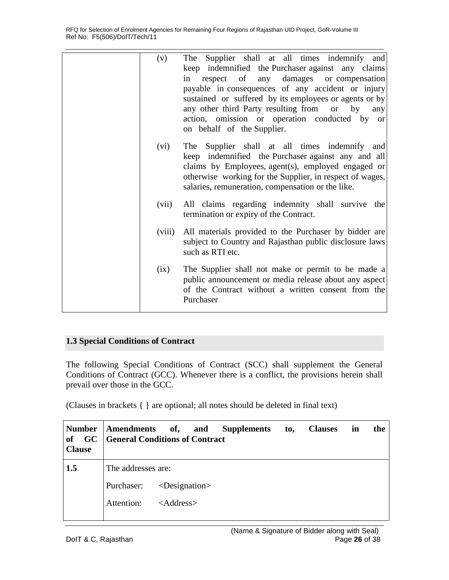| (v)            | The Supplier shall at all times indemnify and                                                                                                                     |
|----------------|-------------------------------------------------------------------------------------------------------------------------------------------------------------------|
|                | keep indemnified the Purchaser against any claims                                                                                                                 |
|                | in respect of any damages or compensation                                                                                                                         |
|                | payable in consequences of any accident or injury                                                                                                                 |
|                | sustained or suffered by its employees or agents or by<br>any other third Party resulting from or by                                                              |
|                | any<br>action, omission or operation conducted by or                                                                                                              |
|                | on behalf of the Supplier.                                                                                                                                        |
| (vi)           | The Supplier shall at all times indemnify<br>and                                                                                                                  |
|                | keep indemnified the Purchaser against any and all                                                                                                                |
|                | claims by Employees, agent(s), employed engaged or                                                                                                                |
|                | otherwise working for the Supplier, in respect of wages,                                                                                                          |
|                | salaries, remuneration, compensation or the like.                                                                                                                 |
| (vii)          | All claims regarding indemnity shall survive the                                                                                                                  |
|                | termination or expiry of the Contract.                                                                                                                            |
|                |                                                                                                                                                                   |
|                | subject to Country and Rajasthan public disclosure laws<br>such as RTI etc.                                                                                       |
|                |                                                                                                                                                                   |
|                | public announcement or media release about any aspect                                                                                                             |
|                | Purchaser                                                                                                                                                         |
| (viii)<br>(ix) | All materials provided to the Purchaser by bidder are<br>The Supplier shall not make or permit to be made a<br>of the Contract without a written consent from the |

## <span id="page-25-0"></span>**1.3 Special Conditions of Contract**

The following Special Conditions of Contract (SCC) shall supplement the General Conditions of Contract (GCC). Whenever there is a conflict, the provisions herein shall prevail over those in the GCC.

(Clauses in brackets { } are optional; all notes should be deleted in final text)

| <b>Number</b><br><b>Clause</b> | Amendments of,<br>and Supplements<br>in<br><b>Clauses</b><br>to,<br>of GC General Conditions of Contract |                                        |  |  |  | the |  |
|--------------------------------|----------------------------------------------------------------------------------------------------------|----------------------------------------|--|--|--|-----|--|
| 1.5                            | The addresses are:                                                                                       |                                        |  |  |  |     |  |
|                                |                                                                                                          | Purchaser: <designation></designation> |  |  |  |     |  |
|                                | Attention:                                                                                               | $<$ Address $>$                        |  |  |  |     |  |
|                                |                                                                                                          |                                        |  |  |  |     |  |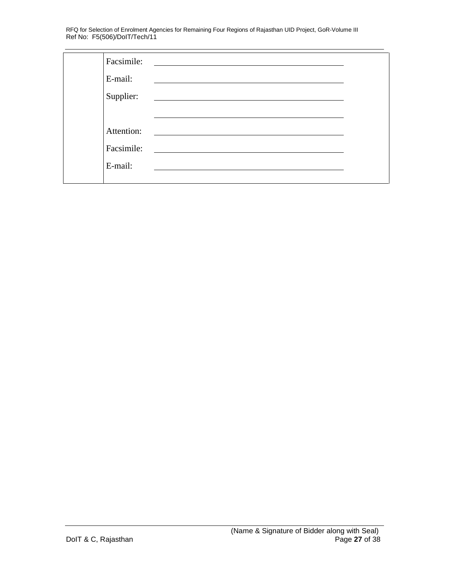| Facsimile: |                                                                                                                      |  |
|------------|----------------------------------------------------------------------------------------------------------------------|--|
| E-mail:    |                                                                                                                      |  |
| Supplier:  | <u> 1989 - Johann Barbara, martin amerikan basal dan berasal dan berasal dalam basal dan berasal dan berasal dan</u> |  |
|            |                                                                                                                      |  |
| Attention: |                                                                                                                      |  |
| Facsimile: |                                                                                                                      |  |
| E-mail:    |                                                                                                                      |  |
|            |                                                                                                                      |  |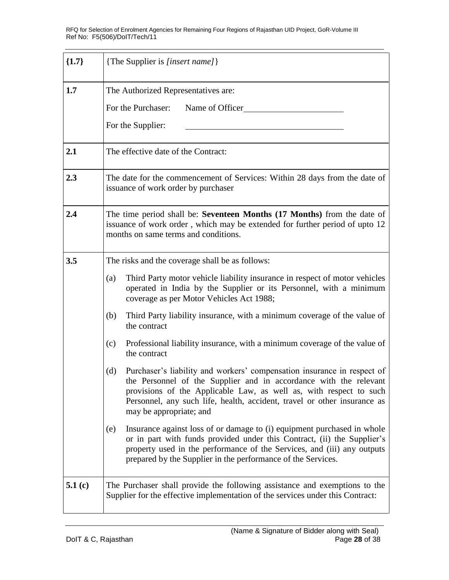| ${1.7}$   | {The Supplier is [insert name]}                                                                                                                                                                                                                                                                                                                                                                                                                                                                                                                                                                                                                                                                                                                                                                                                                                                                                                                                                                                                                                                                           |  |  |
|-----------|-----------------------------------------------------------------------------------------------------------------------------------------------------------------------------------------------------------------------------------------------------------------------------------------------------------------------------------------------------------------------------------------------------------------------------------------------------------------------------------------------------------------------------------------------------------------------------------------------------------------------------------------------------------------------------------------------------------------------------------------------------------------------------------------------------------------------------------------------------------------------------------------------------------------------------------------------------------------------------------------------------------------------------------------------------------------------------------------------------------|--|--|
| 1.7       | The Authorized Representatives are:<br>For the Purchaser:<br>Name of Officer<br>For the Supplier:                                                                                                                                                                                                                                                                                                                                                                                                                                                                                                                                                                                                                                                                                                                                                                                                                                                                                                                                                                                                         |  |  |
| 2.1       | The effective date of the Contract:                                                                                                                                                                                                                                                                                                                                                                                                                                                                                                                                                                                                                                                                                                                                                                                                                                                                                                                                                                                                                                                                       |  |  |
| 2.3       | The date for the commencement of Services: Within 28 days from the date of<br>issuance of work order by purchaser                                                                                                                                                                                                                                                                                                                                                                                                                                                                                                                                                                                                                                                                                                                                                                                                                                                                                                                                                                                         |  |  |
| 2.4       | The time period shall be: Seventeen Months (17 Months) from the date of<br>issuance of work order, which may be extended for further period of upto 12<br>months on same terms and conditions.                                                                                                                                                                                                                                                                                                                                                                                                                                                                                                                                                                                                                                                                                                                                                                                                                                                                                                            |  |  |
| 3.5       | The risks and the coverage shall be as follows:<br>Third Party motor vehicle liability insurance in respect of motor vehicles<br>(a)<br>operated in India by the Supplier or its Personnel, with a minimum<br>coverage as per Motor Vehicles Act 1988;<br>Third Party liability insurance, with a minimum coverage of the value of<br>(b)<br>the contract<br>Professional liability insurance, with a minimum coverage of the value of<br>(c)<br>the contract<br>Purchaser's liability and workers' compensation insurance in respect of<br>(d)<br>the Personnel of the Supplier and in accordance with the relevant<br>provisions of the Applicable Law, as well as, with respect to such<br>Personnel, any such life, health, accident, travel or other insurance as<br>may be appropriate; and<br>Insurance against loss of or damage to (i) equipment purchased in whole<br>(e)<br>or in part with funds provided under this Contract, (ii) the Supplier's<br>property used in the performance of the Services, and (iii) any outputs<br>prepared by the Supplier in the performance of the Services. |  |  |
| 5.1 $(c)$ | The Purchaser shall provide the following assistance and exemptions to the<br>Supplier for the effective implementation of the services under this Contract:                                                                                                                                                                                                                                                                                                                                                                                                                                                                                                                                                                                                                                                                                                                                                                                                                                                                                                                                              |  |  |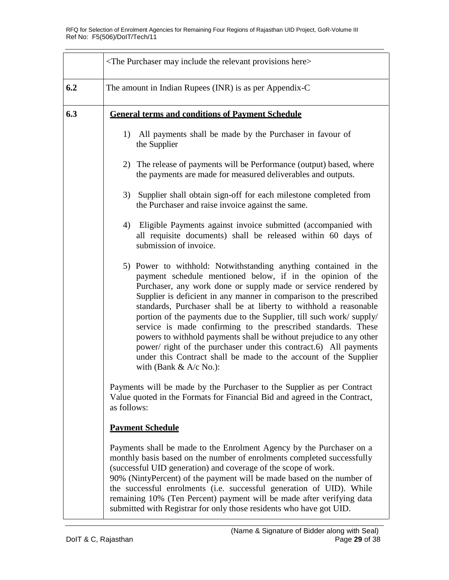|     | <the here="" include="" may="" provisions="" purchaser="" relevant="" the=""></the>                                                                                                                                                                                                                                                                                                                                                                                                                                                                                                                                                                                                                                              |  |  |  |
|-----|----------------------------------------------------------------------------------------------------------------------------------------------------------------------------------------------------------------------------------------------------------------------------------------------------------------------------------------------------------------------------------------------------------------------------------------------------------------------------------------------------------------------------------------------------------------------------------------------------------------------------------------------------------------------------------------------------------------------------------|--|--|--|
| 6.2 | The amount in Indian Rupees (INR) is as per Appendix-C                                                                                                                                                                                                                                                                                                                                                                                                                                                                                                                                                                                                                                                                           |  |  |  |
| 6.3 | <b>General terms and conditions of Payment Schedule</b>                                                                                                                                                                                                                                                                                                                                                                                                                                                                                                                                                                                                                                                                          |  |  |  |
|     | 1) All payments shall be made by the Purchaser in favour of<br>the Supplier                                                                                                                                                                                                                                                                                                                                                                                                                                                                                                                                                                                                                                                      |  |  |  |
|     | 2) The release of payments will be Performance (output) based, where<br>the payments are made for measured deliverables and outputs.                                                                                                                                                                                                                                                                                                                                                                                                                                                                                                                                                                                             |  |  |  |
|     | 3) Supplier shall obtain sign-off for each milestone completed from<br>the Purchaser and raise invoice against the same.                                                                                                                                                                                                                                                                                                                                                                                                                                                                                                                                                                                                         |  |  |  |
|     | 4) Eligible Payments against invoice submitted (accompanied with<br>all requisite documents) shall be released within 60 days of<br>submission of invoice.                                                                                                                                                                                                                                                                                                                                                                                                                                                                                                                                                                       |  |  |  |
|     | 5) Power to withhold: Notwithstanding anything contained in the<br>payment schedule mentioned below, if in the opinion of the<br>Purchaser, any work done or supply made or service rendered by<br>Supplier is deficient in any manner in comparison to the prescribed<br>standards, Purchaser shall be at liberty to withhold a reasonable<br>portion of the payments due to the Supplier, till such work/supply/<br>service is made confirming to the prescribed standards. These<br>powers to withhold payments shall be without prejudice to any other<br>power/ right of the purchaser under this contract.6) All payments<br>under this Contract shall be made to the account of the Supplier<br>with (Bank $\&$ A/c No.): |  |  |  |
|     | Payments will be made by the Purchaser to the Supplier as per Contract<br>Value quoted in the Formats for Financial Bid and agreed in the Contract,<br>as follows:                                                                                                                                                                                                                                                                                                                                                                                                                                                                                                                                                               |  |  |  |
|     | <b>Payment Schedule</b>                                                                                                                                                                                                                                                                                                                                                                                                                                                                                                                                                                                                                                                                                                          |  |  |  |
|     | Payments shall be made to the Enrolment Agency by the Purchaser on a<br>monthly basis based on the number of enrolments completed successfully<br>(successful UID generation) and coverage of the scope of work.<br>90% (NintyPercent) of the payment will be made based on the number of<br>the successful enrolments (i.e. successful generation of UID). While<br>remaining 10% (Ten Percent) payment will be made after verifying data<br>submitted with Registrar for only those residents who have got UID.                                                                                                                                                                                                                |  |  |  |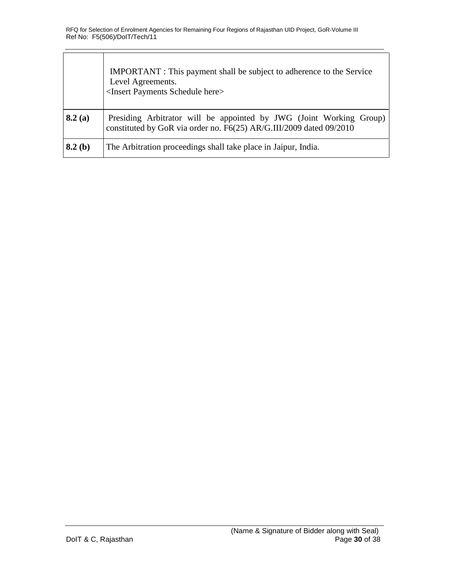|        | <b>IMPORTANT</b> : This payment shall be subject to adherence to the Service<br>Level Agreements.<br><insert here="" payments="" schedule=""></insert> |
|--------|--------------------------------------------------------------------------------------------------------------------------------------------------------|
| 8.2(a) | Presiding Arbitrator will be appointed by JWG (Joint Working Group)<br>constituted by GoR via order no. F6(25) AR/G.III/2009 dated 09/2010             |
| 8.2(b) | The Arbitration proceedings shall take place in Jaipur, India.                                                                                         |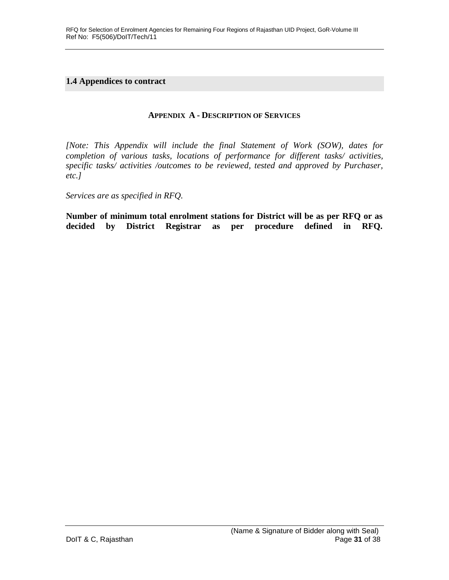#### <span id="page-30-0"></span>**1.4 Appendices to contract**

#### **APPENDIX A - DESCRIPTION OF SERVICES**

<span id="page-30-1"></span>*[Note: This Appendix will include the final Statement of Work (SOW), dates for completion of various tasks, locations of performance for different tasks/ activities, specific tasks/ activities /outcomes to be reviewed, tested and approved by Purchaser, etc.]*

*Services are as specified in RFQ.*

**Number of minimum total enrolment stations for District will be as per RFQ or as decided by District Registrar as per procedure defined in RFQ.**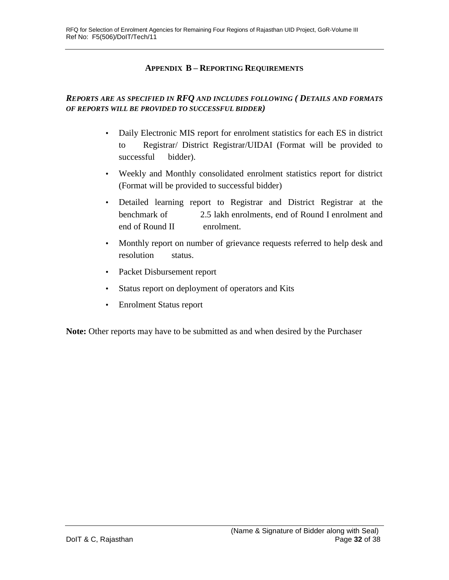#### **APPENDIX B – REPORTING REQUIREMENTS**

## <span id="page-31-0"></span>*REPORTS ARE AS SPECIFIED IN RFQ AND INCLUDES FOLLOWING ( DETAILS AND FORMATS OF REPORTS WILL BE PROVIDED TO SUCCESSFUL BIDDER)*

- Daily Electronic MIS report for enrolment statistics for each ES in district to Registrar/ District Registrar/UIDAI (Format will be provided to successful bidder).
- Weekly and Monthly consolidated enrolment statistics report for district (Format will be provided to successful bidder)
- Detailed learning report to Registrar and District Registrar at the benchmark of 2.5 lakh enrolments, end of Round I enrolment and end of Round II enrolment.
- Monthly report on number of grievance requests referred to help desk and resolution status.
- Packet Disbursement report
- Status report on deployment of operators and Kits
- Enrolment Status report

**Note:** Other reports may have to be submitted as and when desired by the Purchaser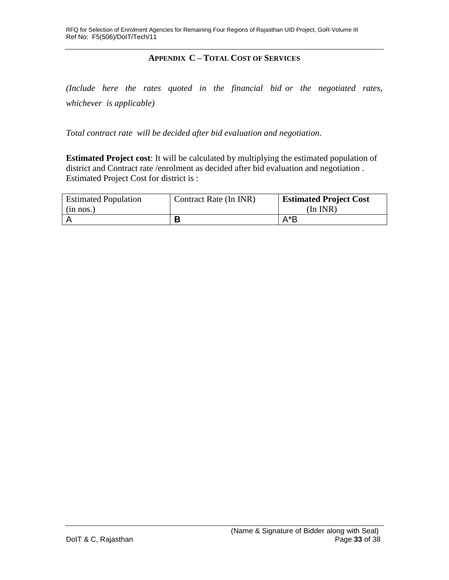#### **APPENDIX C – TOTAL COST OF SERVICES**

<span id="page-32-0"></span>*(Include here the rates quoted in the financial bid or the negotiated rates, whichever is applicable)* 

*Total contract rate will be decided after bid evaluation and negotiation.*

**Estimated Project cost**: It will be calculated by multiplying the estimated population of district and Contract rate /enrolment as decided after bid evaluation and negotiation . Estimated Project Cost for district is :

| <b>Estimated Population</b><br>(in nos.) | Contract Rate (In INR) | <b>Estimated Project Cost</b><br>(In INR) |
|------------------------------------------|------------------------|-------------------------------------------|
|                                          |                        | $A^*B$                                    |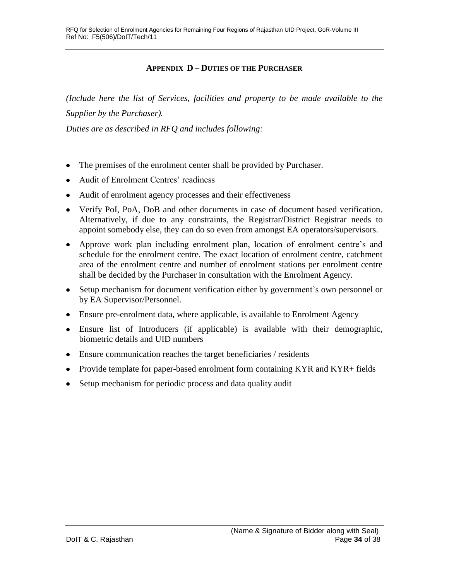#### **APPENDIX D – DUTIES OF THE PURCHASER**

<span id="page-33-0"></span>*(Include here the list of Services, facilities and property to be made available to the Supplier by the Purchaser).* 

*Duties are as described in RFQ and includes following:*

- The premises of the enrolment center shall be provided by Purchaser.
- Audit of Enrolment Centres' readiness
- Audit of enrolment agency processes and their effectiveness
- Verify PoI, PoA, DoB and other documents in case of document based verification. Alternatively, if due to any constraints, the Registrar/District Registrar needs to appoint somebody else, they can do so even from amongst EA operators/supervisors.
- Approve work plan including enrolment plan, location of enrolment centre's and schedule for the enrolment centre. The exact location of enrolment centre, catchment area of the enrolment centre and number of enrolment stations per enrolment centre shall be decided by the Purchaser in consultation with the Enrolment Agency.
- Setup mechanism for document verification either by government's own personnel or by EA Supervisor/Personnel.
- Ensure pre-enrolment data, where applicable, is available to Enrolment Agency
- Ensure list of Introducers (if applicable) is available with their demographic, biometric details and UID numbers
- Ensure communication reaches the target beneficiaries / residents
- Provide template for paper-based enrolment form containing KYR and KYR+ fields
- Setup mechanism for periodic process and data quality audit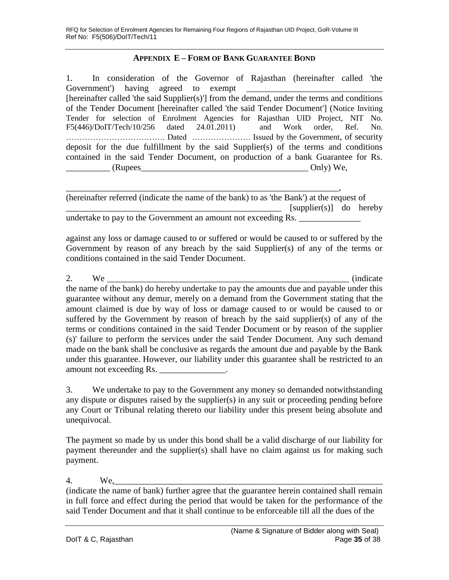#### **APPENDIX E – FORM OF BANK GUARANTEE BOND**

<span id="page-34-0"></span>1. In consideration of the Governor of Rajasthan (hereinafter called 'the Government') having agreed to exempt [hereinafter called 'the said Supplier(s)'] from the demand, under the terms and conditions of the Tender Document [hereinafter called 'the said Tender Document'] (Notice Inviting Tender for selection of Enrolment Agencies for Rajasthan UID Project, NIT No. F5(446)/DoIT/Tech/10/256 dated 24.01.2011) and Work order, Ref. No. ………………………………. Dated …………………. Issued by the Government, of security deposit for the due fulfillment by the said Supplier(s) of the terms and conditions contained in the said Tender Document, on production of a bank Guarantee for Rs.  $\alpha$  (Rupees  $\alpha$  and  $\alpha$  ) We,

\_\_\_\_\_\_\_\_\_\_\_\_\_\_\_\_\_\_\_\_\_\_\_\_\_\_\_\_\_\_\_\_\_\_\_\_\_\_\_\_\_\_\_\_\_\_\_\_\_\_\_\_\_\_\_\_\_\_\_\_\_\_, (hereinafter referred (indicate the name of the bank) to as 'the Bank') at the request of  $[supplier(s)]$  do hereby undertake to pay to the Government an amount not exceeding Rs.

against any loss or damage caused to or suffered or would be caused to or suffered by the Government by reason of any breach by the said Supplier(s) of any of the terms or conditions contained in the said Tender Document.

2. We  $\blacksquare$  (indicate the name of the bank) do hereby undertake to pay the amounts due and payable under this guarantee without any demur, merely on a demand from the Government stating that the amount claimed is due by way of loss or damage caused to or would be caused to or suffered by the Government by reason of breach by the said supplier(s) of any of the terms or conditions contained in the said Tender Document or by reason of the supplier (s)' failure to perform the services under the said Tender Document. Any such demand made on the bank shall be conclusive as regards the amount due and payable by the Bank under this guarantee. However, our liability under this guarantee shall be restricted to an amount not exceeding Rs.

3. We undertake to pay to the Government any money so demanded notwithstanding any dispute or disputes raised by the supplier(s) in any suit or proceeding pending before any Court or Tribunal relating thereto our liability under this present being absolute and unequivocal.

The payment so made by us under this bond shall be a valid discharge of our liability for payment thereunder and the supplier(s) shall have no claim against us for making such payment.

#### $4.$  We,

(indicate the name of bank) further agree that the guarantee herein contained shall remain in full force and effect during the period that would be taken for the performance of the said Tender Document and that it shall continue to be enforceable till all the dues of the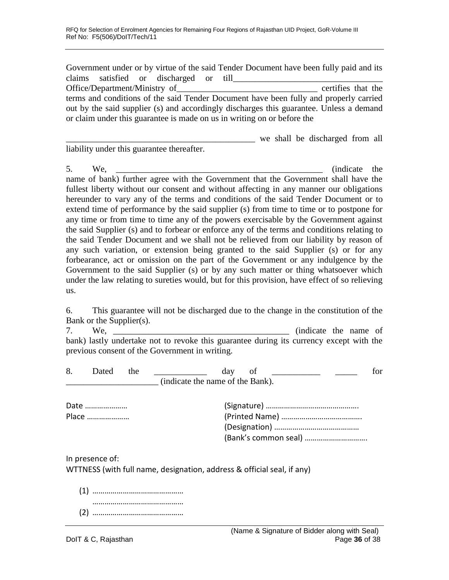Government under or by virtue of the said Tender Document have been fully paid and its claims satisfied or discharged or till Office/Department/Ministry of\_\_\_\_\_\_\_\_\_\_\_\_\_\_\_\_\_\_\_\_\_\_\_\_\_\_\_\_\_\_\_\_ certifies that the terms and conditions of the said Tender Document have been fully and properly carried out by the said supplier (s) and accordingly discharges this guarantee. Unless a demand or claim under this guarantee is made on us in writing on or before the

we shall be discharged from all liability under this guarantee thereafter.

5. We, example the state of the state of the state of the state of the state of the state of the state of the state of the state of the state of the state of the state of the state of the state of the state of the state of name of bank) further agree with the Government that the Government shall have the fullest liberty without our consent and without affecting in any manner our obligations hereunder to vary any of the terms and conditions of the said Tender Document or to extend time of performance by the said supplier (s) from time to time or to postpone for any time or from time to time any of the powers exercisable by the Government against the said Supplier (s) and to forbear or enforce any of the terms and conditions relating to the said Tender Document and we shall not be relieved from our liability by reason of any such variation, or extension being granted to the said Supplier (s) or for any forbearance, act or omission on the part of the Government or any indulgence by the Government to the said Supplier (s) or by any such matter or thing whatsoever which under the law relating to sureties would, but for this provision, have effect of so relieving us.

6. This guarantee will not be discharged due to the change in the constitution of the Bank or the Supplier(s).

7. We, we have the name of  $\overline{C}$ bank) lastly undertake not to revoke this guarantee during its currency except with the previous consent of the Government in writing.

| 8. | Dated | the | dav                              |  | ror |
|----|-------|-----|----------------------------------|--|-----|
|    |       |     | (indicate the name of the Bank). |  |     |

| Date  |  |
|-------|--|
| Place |  |
|       |  |
|       |  |
|       |  |

In presence of: WTTNESS (with full name, designation, address & official seal, if any)

(1) ……………………………………… ……………………………………… (2) ………………………………………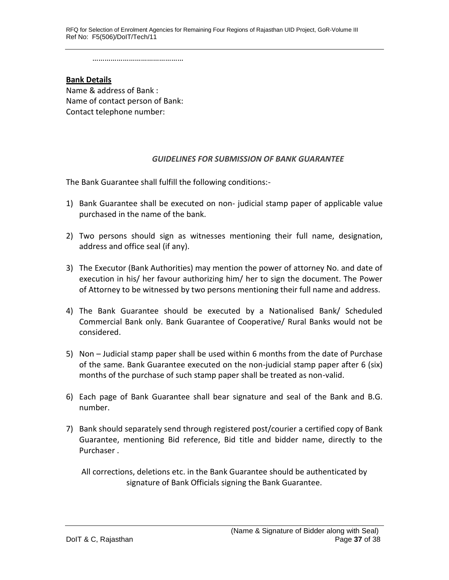…………………………………………

#### **Bank Details**

Name & address of Bank : Name of contact person of Bank: Contact telephone number:

#### *GUIDELINES FOR SUBMISSION OF BANK GUARANTEE*

The Bank Guarantee shall fulfill the following conditions:-

- 1) Bank Guarantee shall be executed on non- judicial stamp paper of applicable value purchased in the name of the bank.
- 2) Two persons should sign as witnesses mentioning their full name, designation, address and office seal (if any).
- 3) The Executor (Bank Authorities) may mention the power of attorney No. and date of execution in his/ her favour authorizing him/ her to sign the document. The Power of Attorney to be witnessed by two persons mentioning their full name and address.
- 4) The Bank Guarantee should be executed by a Nationalised Bank/ Scheduled Commercial Bank only. Bank Guarantee of Cooperative/ Rural Banks would not be considered.
- 5) Non Judicial stamp paper shall be used within 6 months from the date of Purchase of the same. Bank Guarantee executed on the non-judicial stamp paper after 6 (six) months of the purchase of such stamp paper shall be treated as non-valid.
- 6) Each page of Bank Guarantee shall bear signature and seal of the Bank and B.G. number.
- 7) Bank should separately send through registered post/courier a certified copy of Bank Guarantee, mentioning Bid reference, Bid title and bidder name, directly to the Purchaser .

All corrections, deletions etc. in the Bank Guarantee should be authenticated by signature of Bank Officials signing the Bank Guarantee.